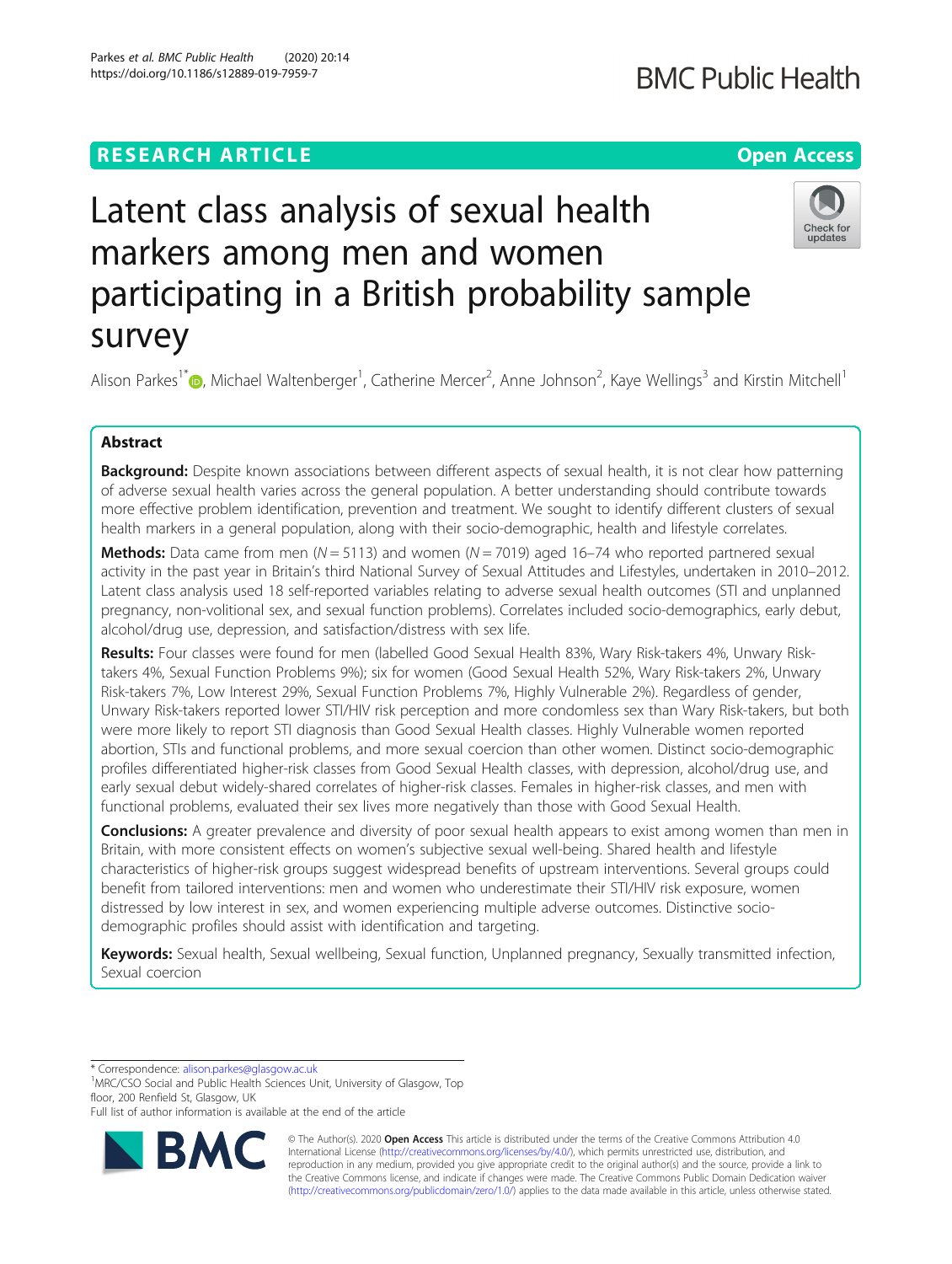# **RESEARCH ARTICLE Example 2014 12:30 The Contract of Contract ACCESS**

# Latent class analysis of sexual health markers among men and women participating in a British probability sample survey

Alison Parkes<sup>1\*</sup>®[,](http://orcid.org/0000-0002-4177-8041) Michael Waltenberger<sup>1</sup>, Catherine Mercer<sup>2</sup>, Anne Johnson<sup>2</sup>, Kaye Wellings<sup>3</sup> and Kirstin Mitchell<sup>1</sup>

# Abstract

Background: Despite known associations between different aspects of sexual health, it is not clear how patterning of adverse sexual health varies across the general population. A better understanding should contribute towards more effective problem identification, prevention and treatment. We sought to identify different clusters of sexual health markers in a general population, along with their socio-demographic, health and lifestyle correlates.

**Methods:** Data came from men ( $N = 5113$ ) and women ( $N = 7019$ ) aged 16-74 who reported partnered sexual activity in the past year in Britain's third National Survey of Sexual Attitudes and Lifestyles, undertaken in 2010–2012. Latent class analysis used 18 self-reported variables relating to adverse sexual health outcomes (STI and unplanned pregnancy, non-volitional sex, and sexual function problems). Correlates included socio-demographics, early debut, alcohol/drug use, depression, and satisfaction/distress with sex life.

Results: Four classes were found for men (labelled Good Sexual Health 83%, Wary Risk-takers 4%, Unwary Risktakers 4%, Sexual Function Problems 9%); six for women (Good Sexual Health 52%, Wary Risk-takers 2%, Unwary Risk-takers 7%, Low Interest 29%, Sexual Function Problems 7%, Highly Vulnerable 2%). Regardless of gender, Unwary Risk-takers reported lower STI/HIV risk perception and more condomless sex than Wary Risk-takers, but both were more likely to report STI diagnosis than Good Sexual Health classes. Highly Vulnerable women reported abortion, STIs and functional problems, and more sexual coercion than other women. Distinct socio-demographic profiles differentiated higher-risk classes from Good Sexual Health classes, with depression, alcohol/drug use, and early sexual debut widely-shared correlates of higher-risk classes. Females in higher-risk classes, and men with functional problems, evaluated their sex lives more negatively than those with Good Sexual Health.

**Conclusions:** A greater prevalence and diversity of poor sexual health appears to exist among women than men in Britain, with more consistent effects on women's subjective sexual well-being. Shared health and lifestyle characteristics of higher-risk groups suggest widespread benefits of upstream interventions. Several groups could benefit from tailored interventions: men and women who underestimate their STI/HIV risk exposure, women distressed by low interest in sex, and women experiencing multiple adverse outcomes. Distinctive sociodemographic profiles should assist with identification and targeting.

Keywords: Sexual health, Sexual wellbeing, Sexual function, Unplanned pregnancy, Sexually transmitted infection, Sexual coercion

\* Correspondence: [alison.parkes@glasgow.ac.uk](mailto:alison.parkes@glasgow.ac.uk) <sup>1</sup>

<sup>1</sup>MRC/CSO Social and Public Health Sciences Unit, University of Glasgow, Top floor, 200 Renfield St, Glasgow, UK

Full list of author information is available at the end of the article

© The Author(s). 2020 **Open Access** This article is distributed under the terms of the Creative Commons Attribution 4.0 International License [\(http://creativecommons.org/licenses/by/4.0/](http://creativecommons.org/licenses/by/4.0/)), which permits unrestricted use, distribution, and reproduction in any medium, provided you give appropriate credit to the original author(s) and the source, provide a link to the Creative Commons license, and indicate if changes were made. The Creative Commons Public Domain Dedication waiver [\(http://creativecommons.org/publicdomain/zero/1.0/](http://creativecommons.org/publicdomain/zero/1.0/)) applies to the data made available in this article, unless otherwise stated.





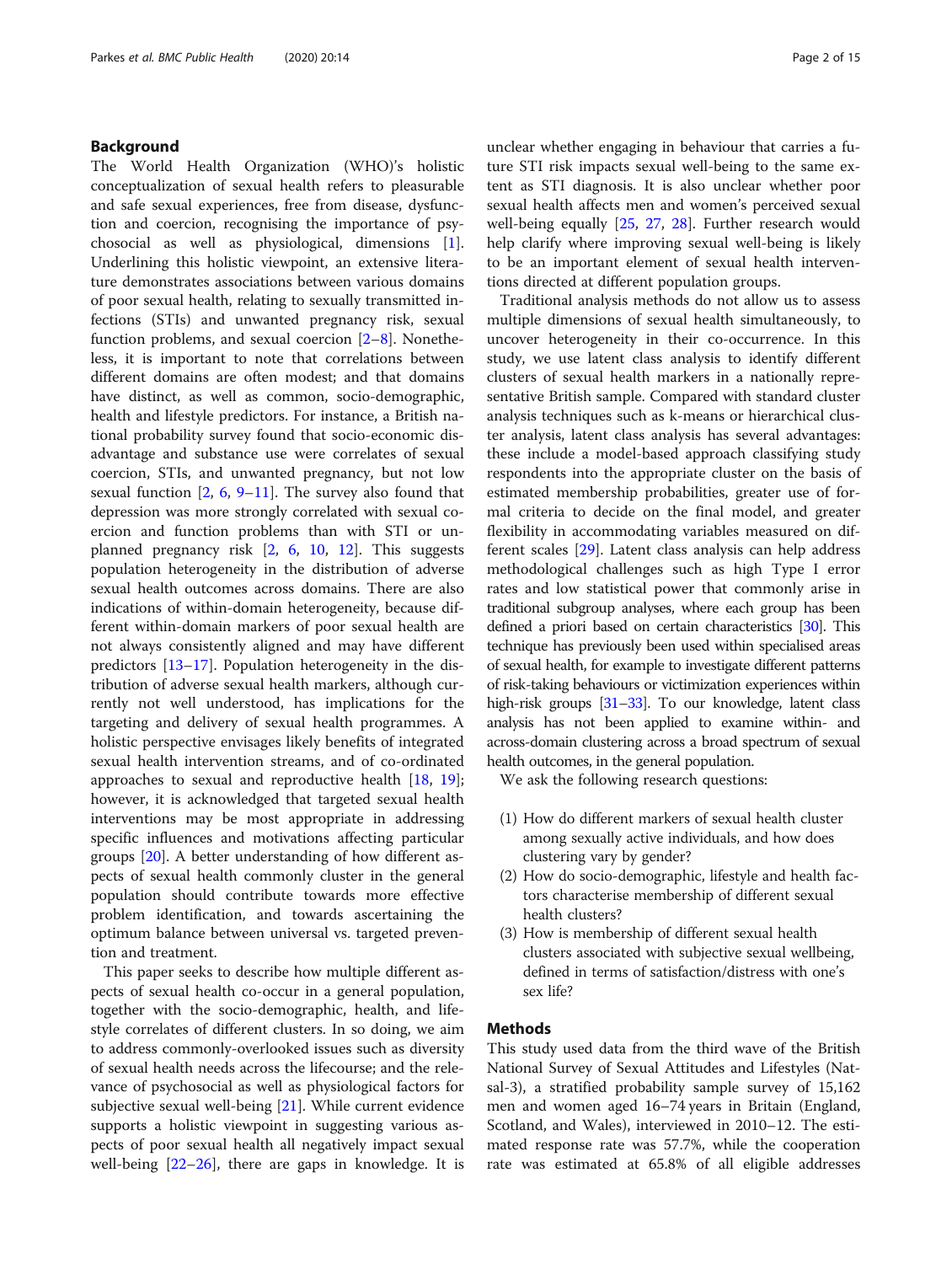# Background

The World Health Organization (WHO)'s holistic conceptualization of sexual health refers to pleasurable and safe sexual experiences, free from disease, dysfunction and coercion, recognising the importance of psychosocial as well as physiological, dimensions [\[1](#page-13-0)]. Underlining this holistic viewpoint, an extensive literature demonstrates associations between various domains of poor sexual health, relating to sexually transmitted infections (STIs) and unwanted pregnancy risk, sexual function problems, and sexual coercion  $[2-8]$  $[2-8]$  $[2-8]$ . Nonetheless, it is important to note that correlations between different domains are often modest; and that domains have distinct, as well as common, socio-demographic, health and lifestyle predictors. For instance, a British national probability survey found that socio-economic disadvantage and substance use were correlates of sexual coercion, STIs, and unwanted pregnancy, but not low sexual function  $[2, 6, 9-11]$  $[2, 6, 9-11]$  $[2, 6, 9-11]$  $[2, 6, 9-11]$  $[2, 6, 9-11]$  $[2, 6, 9-11]$  $[2, 6, 9-11]$  $[2, 6, 9-11]$ . The survey also found that depression was more strongly correlated with sexual coercion and function problems than with STI or unplanned pregnancy risk [\[2](#page-13-0), [6](#page-13-0), [10](#page-13-0), [12](#page-13-0)]. This suggests population heterogeneity in the distribution of adverse sexual health outcomes across domains. There are also indications of within-domain heterogeneity, because different within-domain markers of poor sexual health are not always consistently aligned and may have different predictors [[13](#page-13-0)–[17\]](#page-13-0). Population heterogeneity in the distribution of adverse sexual health markers, although currently not well understood, has implications for the targeting and delivery of sexual health programmes. A holistic perspective envisages likely benefits of integrated sexual health intervention streams, and of co-ordinated approaches to sexual and reproductive health [[18,](#page-13-0) [19](#page-13-0)]; however, it is acknowledged that targeted sexual health interventions may be most appropriate in addressing specific influences and motivations affecting particular groups [[20\]](#page-13-0). A better understanding of how different aspects of sexual health commonly cluster in the general population should contribute towards more effective problem identification, and towards ascertaining the optimum balance between universal vs. targeted prevention and treatment.

This paper seeks to describe how multiple different aspects of sexual health co-occur in a general population, together with the socio-demographic, health, and lifestyle correlates of different clusters. In so doing, we aim to address commonly-overlooked issues such as diversity of sexual health needs across the lifecourse; and the relevance of psychosocial as well as physiological factors for subjective sexual well-being [\[21](#page-13-0)]. While current evidence supports a holistic viewpoint in suggesting various aspects of poor sexual health all negatively impact sexual well-being  $[22-26]$  $[22-26]$  $[22-26]$  $[22-26]$  $[22-26]$ , there are gaps in knowledge. It is

unclear whether engaging in behaviour that carries a future STI risk impacts sexual well-being to the same extent as STI diagnosis. It is also unclear whether poor sexual health affects men and women's perceived sexual well-being equally [[25](#page-13-0), [27,](#page-13-0) [28](#page-13-0)]. Further research would help clarify where improving sexual well-being is likely to be an important element of sexual health interventions directed at different population groups.

Traditional analysis methods do not allow us to assess multiple dimensions of sexual health simultaneously, to uncover heterogeneity in their co-occurrence. In this study, we use latent class analysis to identify different clusters of sexual health markers in a nationally representative British sample. Compared with standard cluster analysis techniques such as k-means or hierarchical cluster analysis, latent class analysis has several advantages: these include a model-based approach classifying study respondents into the appropriate cluster on the basis of estimated membership probabilities, greater use of formal criteria to decide on the final model, and greater flexibility in accommodating variables measured on different scales [[29](#page-13-0)]. Latent class analysis can help address methodological challenges such as high Type I error rates and low statistical power that commonly arise in traditional subgroup analyses, where each group has been defined a priori based on certain characteristics [\[30](#page-14-0)]. This technique has previously been used within specialised areas of sexual health, for example to investigate different patterns of risk-taking behaviours or victimization experiences within high-risk groups [\[31](#page-14-0)–[33](#page-14-0)]. To our knowledge, latent class analysis has not been applied to examine within- and across-domain clustering across a broad spectrum of sexual health outcomes, in the general population.

We ask the following research questions:

- (1) How do different markers of sexual health cluster among sexually active individuals, and how does clustering vary by gender?
- (2) How do socio-demographic, lifestyle and health factors characterise membership of different sexual health clusters?
- (3) How is membership of different sexual health clusters associated with subjective sexual wellbeing, defined in terms of satisfaction/distress with one's sex life?

# Methods

This study used data from the third wave of the British National Survey of Sexual Attitudes and Lifestyles (Natsal-3), a stratified probability sample survey of 15,162 men and women aged 16–74 years in Britain (England, Scotland, and Wales), interviewed in 2010–12. The estimated response rate was 57.7%, while the cooperation rate was estimated at 65.8% of all eligible addresses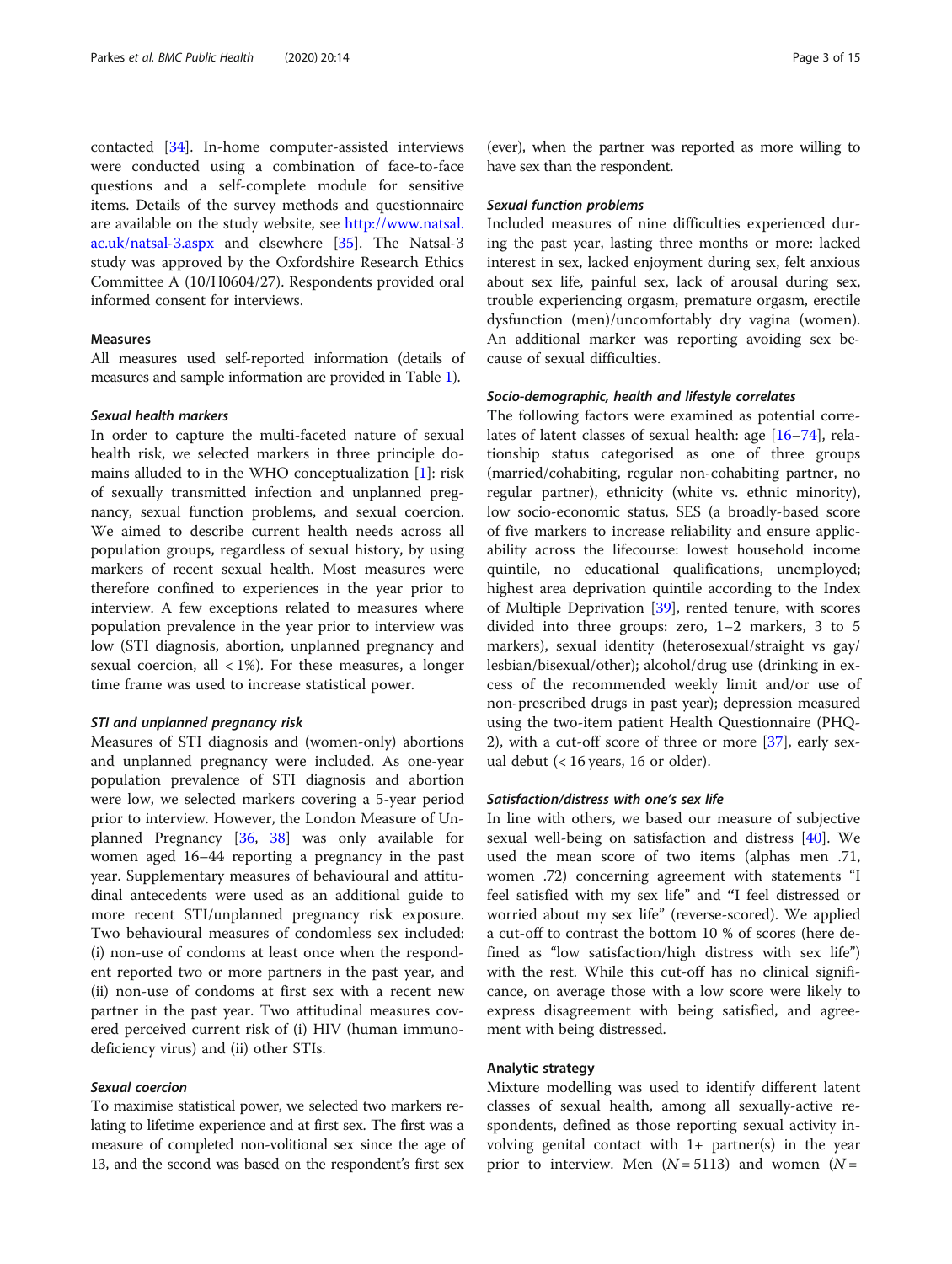contacted [[34\]](#page-14-0). In-home computer-assisted interviews were conducted using a combination of face-to-face questions and a self-complete module for sensitive items. Details of the survey methods and questionnaire are available on the study website, see [http://www.natsal.](http://www.natsal.ac.uk/natsal-3.aspx) [ac.uk/natsal-3.aspx](http://www.natsal.ac.uk/natsal-3.aspx) and elsewhere [[35\]](#page-14-0). The Natsal-3 study was approved by the Oxfordshire Research Ethics Committee A (10/H0604/27). Respondents provided oral informed consent for interviews.

# **Measures**

All measures used self-reported information (details of measures and sample information are provided in Table [1](#page-3-0)).

# Sexual health markers

In order to capture the multi-faceted nature of sexual health risk, we selected markers in three principle domains alluded to in the WHO conceptualization [\[1](#page-13-0)]: risk of sexually transmitted infection and unplanned pregnancy, sexual function problems, and sexual coercion. We aimed to describe current health needs across all population groups, regardless of sexual history, by using markers of recent sexual health. Most measures were therefore confined to experiences in the year prior to interview. A few exceptions related to measures where population prevalence in the year prior to interview was low (STI diagnosis, abortion, unplanned pregnancy and sexual coercion, all  $\langle 1\% \rangle$ . For these measures, a longer time frame was used to increase statistical power.

## STI and unplanned pregnancy risk

Measures of STI diagnosis and (women-only) abortions and unplanned pregnancy were included. As one-year population prevalence of STI diagnosis and abortion were low, we selected markers covering a 5-year period prior to interview. However, the London Measure of Unplanned Pregnancy [[36](#page-14-0), [38\]](#page-14-0) was only available for women aged 16–44 reporting a pregnancy in the past year. Supplementary measures of behavioural and attitudinal antecedents were used as an additional guide to more recent STI/unplanned pregnancy risk exposure. Two behavioural measures of condomless sex included: (i) non-use of condoms at least once when the respondent reported two or more partners in the past year, and (ii) non-use of condoms at first sex with a recent new partner in the past year. Two attitudinal measures covered perceived current risk of (i) HIV (human immunodeficiency virus) and (ii) other STIs.

# Sexual coercion

To maximise statistical power, we selected two markers relating to lifetime experience and at first sex. The first was a measure of completed non-volitional sex since the age of 13, and the second was based on the respondent's first sex

(ever), when the partner was reported as more willing to have sex than the respondent.

## Sexual function problems

Included measures of nine difficulties experienced during the past year, lasting three months or more: lacked interest in sex, lacked enjoyment during sex, felt anxious about sex life, painful sex, lack of arousal during sex, trouble experiencing orgasm, premature orgasm, erectile dysfunction (men)/uncomfortably dry vagina (women). An additional marker was reporting avoiding sex because of sexual difficulties.

# Socio-demographic, health and lifestyle correlates

The following factors were examined as potential correlates of latent classes of sexual health: age [[16](#page-13-0)–[74](#page-14-0)], relationship status categorised as one of three groups (married/cohabiting, regular non-cohabiting partner, no regular partner), ethnicity (white vs. ethnic minority), low socio-economic status, SES (a broadly-based score of five markers to increase reliability and ensure applicability across the lifecourse: lowest household income quintile, no educational qualifications, unemployed; highest area deprivation quintile according to the Index of Multiple Deprivation [\[39](#page-14-0)], rented tenure, with scores divided into three groups: zero, 1–2 markers, 3 to 5 markers), sexual identity (heterosexual/straight vs gay/ lesbian/bisexual/other); alcohol/drug use (drinking in excess of the recommended weekly limit and/or use of non-prescribed drugs in past year); depression measured using the two-item patient Health Questionnaire (PHQ-2), with a cut-off score of three or more [\[37](#page-14-0)], early sexual debut (< 16 years, 16 or older).

# Satisfaction/distress with one's sex life

In line with others, we based our measure of subjective sexual well-being on satisfaction and distress [[40](#page-14-0)]. We used the mean score of two items (alphas men .71, women .72) concerning agreement with statements "I feel satisfied with my sex life" and "I feel distressed or worried about my sex life" (reverse-scored). We applied a cut-off to contrast the bottom 10 % of scores (here defined as "low satisfaction/high distress with sex life") with the rest. While this cut-off has no clinical significance, on average those with a low score were likely to express disagreement with being satisfied, and agreement with being distressed.

# Analytic strategy

Mixture modelling was used to identify different latent classes of sexual health, among all sexually-active respondents, defined as those reporting sexual activity involving genital contact with 1+ partner(s) in the year prior to interview. Men ( $N = 5113$ ) and women ( $N =$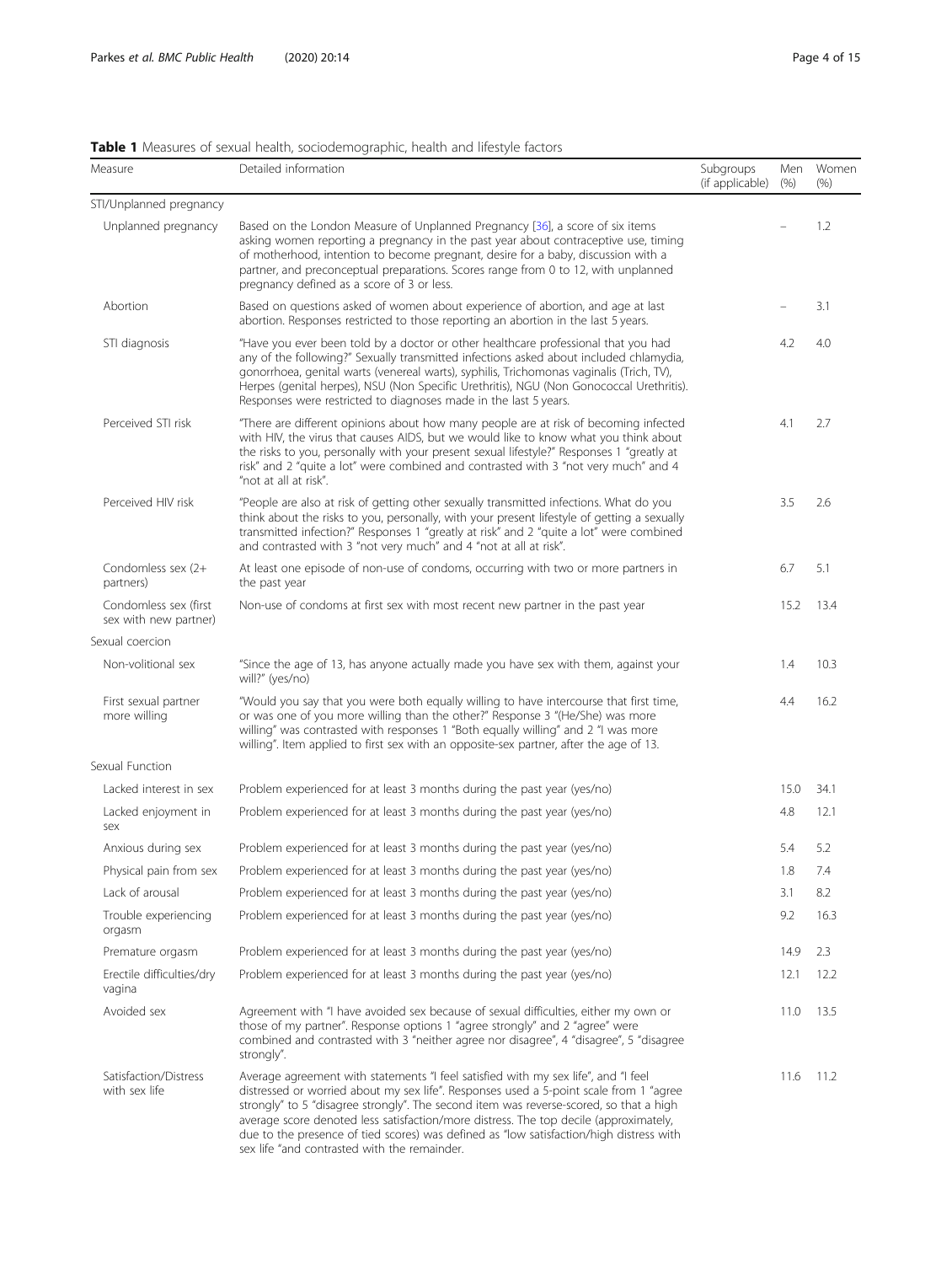# <span id="page-3-0"></span>Table 1 Measures of sexual health, sociodemographic, health and lifestyle factors

| Measure                                        | Detailed information                                                                                                                                                                                                                                                                                                                                                                                                                                                                                       | Subgroups<br>(if applicable) | Men<br>(% ) | Women<br>(% ) |
|------------------------------------------------|------------------------------------------------------------------------------------------------------------------------------------------------------------------------------------------------------------------------------------------------------------------------------------------------------------------------------------------------------------------------------------------------------------------------------------------------------------------------------------------------------------|------------------------------|-------------|---------------|
| STI/Unplanned pregnancy                        |                                                                                                                                                                                                                                                                                                                                                                                                                                                                                                            |                              |             |               |
| Unplanned pregnancy                            | Based on the London Measure of Unplanned Pregnancy [36], a score of six items<br>asking women reporting a pregnancy in the past year about contraceptive use, timing<br>of motherhood, intention to become pregnant, desire for a baby, discussion with a<br>partner, and preconceptual preparations. Scores range from 0 to 12, with unplanned<br>pregnancy defined as a score of 3 or less.                                                                                                              |                              |             | 1.2           |
| Abortion                                       | Based on questions asked of women about experience of abortion, and age at last<br>abortion. Responses restricted to those reporting an abortion in the last 5 years.                                                                                                                                                                                                                                                                                                                                      |                              |             | 3.1           |
| STI diagnosis                                  | "Have you ever been told by a doctor or other healthcare professional that you had<br>any of the following?" Sexually transmitted infections asked about included chlamydia,<br>gonorrhoea, genital warts (venereal warts), syphilis, Trichomonas vaginalis (Trich, TV),<br>Herpes (genital herpes), NSU (Non Specific Urethritis), NGU (Non Gonococcal Urethritis).<br>Responses were restricted to diagnoses made in the last 5 years.                                                                   |                              | 4.2         | 4.0           |
| Perceived STI risk                             | "There are different opinions about how many people are at risk of becoming infected<br>with HIV, the virus that causes AIDS, but we would like to know what you think about<br>the risks to you, personally with your present sexual lifestyle?" Responses 1 "greatly at<br>risk" and 2 "quite a lot" were combined and contrasted with 3 "not very much" and 4<br>"not at all at risk".                                                                                                                  |                              | 4.1         | 2.7           |
| Perceived HIV risk                             | "People are also at risk of getting other sexually transmitted infections. What do you<br>think about the risks to you, personally, with your present lifestyle of getting a sexually<br>transmitted infection?" Responses 1 "greatly at risk" and 2 "quite a lot" were combined<br>and contrasted with 3 "not very much" and 4 "not at all at risk".                                                                                                                                                      |                              | 3.5         | 2.6           |
| Condomless sex (2+<br>partners)                | At least one episode of non-use of condoms, occurring with two or more partners in<br>the past year                                                                                                                                                                                                                                                                                                                                                                                                        |                              | 6.7         | 5.1           |
| Condomless sex (first<br>sex with new partner) | Non-use of condoms at first sex with most recent new partner in the past year                                                                                                                                                                                                                                                                                                                                                                                                                              |                              | 15.2        | 13.4          |
| Sexual coercion                                |                                                                                                                                                                                                                                                                                                                                                                                                                                                                                                            |                              |             |               |
| Non-volitional sex                             | "Since the age of 13, has anyone actually made you have sex with them, against your<br>will?" (yes/no)                                                                                                                                                                                                                                                                                                                                                                                                     |                              | 1.4         | 10.3          |
| First sexual partner<br>more willing           | "Would you say that you were both equally willing to have intercourse that first time,<br>or was one of you more willing than the other?" Response 3 "(He/She) was more<br>willing" was contrasted with responses 1 "Both equally willing" and 2 "I was more<br>willing". Item applied to first sex with an opposite-sex partner, after the age of 13.                                                                                                                                                     |                              | 4.4         | 16.2          |
| Sexual Function                                |                                                                                                                                                                                                                                                                                                                                                                                                                                                                                                            |                              |             |               |
| Lacked interest in sex                         | Problem experienced for at least 3 months during the past year (yes/no)                                                                                                                                                                                                                                                                                                                                                                                                                                    |                              | 15.0        | 34.1          |
| Lacked enjoyment in<br>sex                     | Problem experienced for at least 3 months during the past year (yes/no)                                                                                                                                                                                                                                                                                                                                                                                                                                    |                              | 4.8         | 12.1          |
| Anxious during sex                             | Problem experienced for at least 3 months during the past year (yes/no)                                                                                                                                                                                                                                                                                                                                                                                                                                    |                              | 5.4         | 5.2           |
| Physical pain from sex                         | Problem experienced for at least 3 months during the past year (yes/no)                                                                                                                                                                                                                                                                                                                                                                                                                                    |                              | 1.8         | 7.4           |
| Lack of arousal                                | Problem experienced for at least 3 months during the past year (yes/no)                                                                                                                                                                                                                                                                                                                                                                                                                                    |                              | 3.1         | 8.2           |
| Trouble experiencing<br>orgasm                 | Problem experienced for at least 3 months during the past year (yes/no)                                                                                                                                                                                                                                                                                                                                                                                                                                    |                              | 9.2         | 16.3          |
| Premature orgasm                               | Problem experienced for at least 3 months during the past year (yes/no)                                                                                                                                                                                                                                                                                                                                                                                                                                    |                              | 14.9        | 2.3           |
| Erectile difficulties/dry<br>vagina            | Problem experienced for at least 3 months during the past year (yes/no)                                                                                                                                                                                                                                                                                                                                                                                                                                    |                              | 12.1        | 12.2          |
| Avoided sex                                    | Agreement with "I have avoided sex because of sexual difficulties, either my own or<br>those of my partner". Response options 1 "agree strongly" and 2 "agree" were<br>combined and contrasted with 3 "neither agree nor disagree", 4 "disagree", 5 "disagree<br>strongly".                                                                                                                                                                                                                                |                              | 11.0        | 13.5          |
| Satisfaction/Distress<br>with sex life         | Average agreement with statements "I feel satisfied with my sex life", and "I feel<br>distressed or worried about my sex life". Responses used a 5-point scale from 1 "agree<br>strongly" to 5 "disagree strongly". The second item was reverse-scored, so that a high<br>average score denoted less satisfaction/more distress. The top decile (approximately,<br>due to the presence of tied scores) was defined as "low satisfaction/high distress with<br>sex life "and contrasted with the remainder. |                              | 11.6        | 11.2          |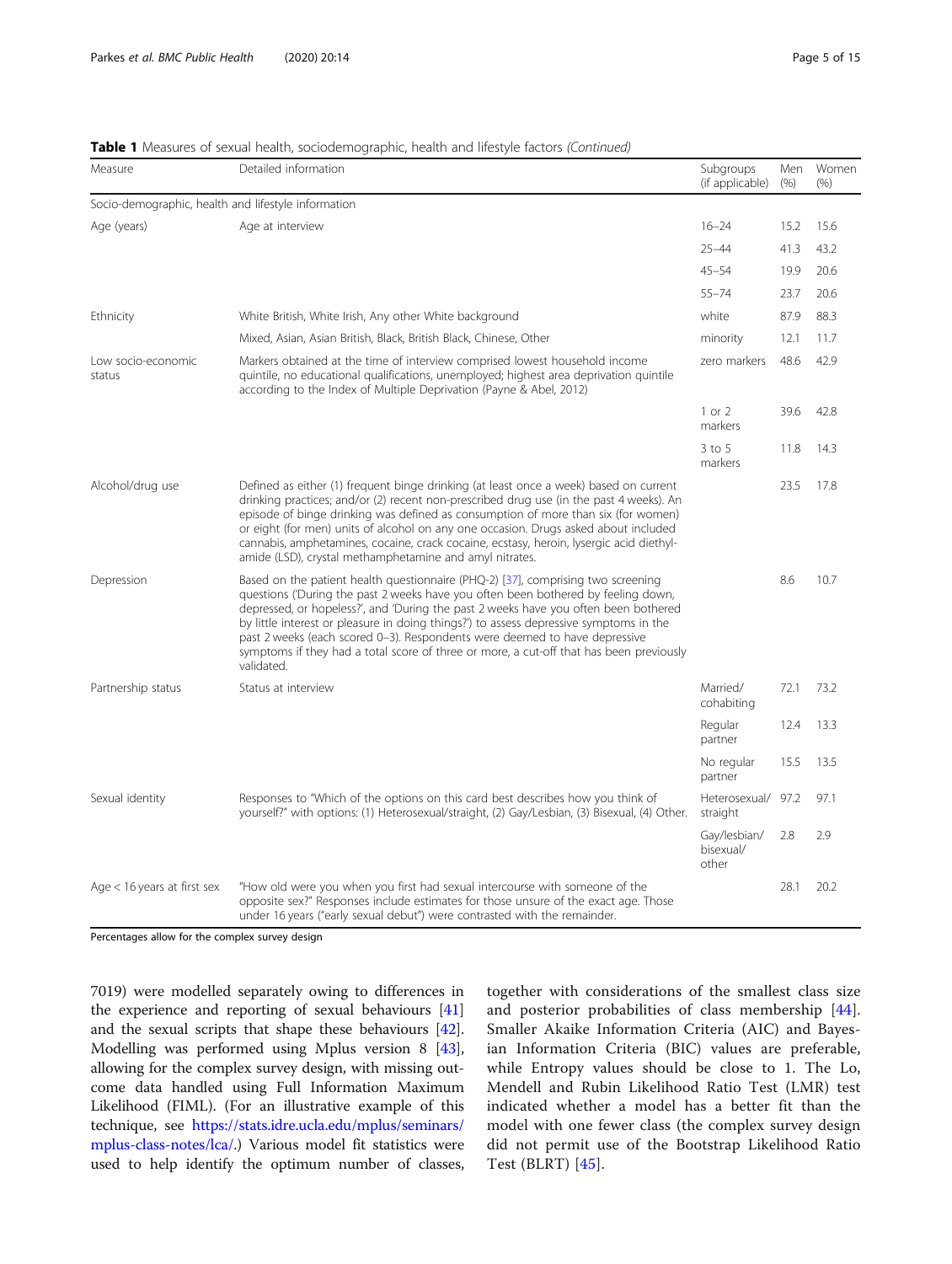| Measure                                             | Detailed information                                                                                                                                                                                                                                                                                                                                                                                                                                                                                                                          | Subgroups<br>(if applicable)       | Men<br>(% ) | Women<br>(9/6) |
|-----------------------------------------------------|-----------------------------------------------------------------------------------------------------------------------------------------------------------------------------------------------------------------------------------------------------------------------------------------------------------------------------------------------------------------------------------------------------------------------------------------------------------------------------------------------------------------------------------------------|------------------------------------|-------------|----------------|
| Socio-demographic, health and lifestyle information |                                                                                                                                                                                                                                                                                                                                                                                                                                                                                                                                               |                                    |             |                |
| Age (years)                                         | Age at interview                                                                                                                                                                                                                                                                                                                                                                                                                                                                                                                              | $16 - 24$                          | 15.2        | 15.6           |
|                                                     |                                                                                                                                                                                                                                                                                                                                                                                                                                                                                                                                               | $25 - 44$                          | 41.3        | 43.2           |
|                                                     |                                                                                                                                                                                                                                                                                                                                                                                                                                                                                                                                               | $45 - 54$                          | 19.9        | 20.6           |
|                                                     |                                                                                                                                                                                                                                                                                                                                                                                                                                                                                                                                               | $55 - 74$                          | 23.7        | 20.6           |
| Ethnicity                                           | White British, White Irish, Any other White background                                                                                                                                                                                                                                                                                                                                                                                                                                                                                        | white                              | 87.9        | 88.3           |
|                                                     | Mixed, Asian, Asian British, Black, British Black, Chinese, Other                                                                                                                                                                                                                                                                                                                                                                                                                                                                             | minority                           | 12.1        | 11.7           |
| Low socio-economic<br>status                        | Markers obtained at the time of interview comprised lowest household income<br>quintile, no educational qualifications, unemployed; highest area deprivation quintile<br>according to the Index of Multiple Deprivation (Payne & Abel, 2012)                                                                                                                                                                                                                                                                                                  | zero markers                       | 48.6        | 42.9           |
|                                                     |                                                                                                                                                                                                                                                                                                                                                                                                                                                                                                                                               | $1$ or $2$<br>markers              | 39.6        | 42.8           |
|                                                     |                                                                                                                                                                                                                                                                                                                                                                                                                                                                                                                                               | $3$ to 5<br>markers                | 11.8        | 14.3           |
| Alcohol/drug use                                    | Defined as either (1) frequent binge drinking (at least once a week) based on current<br>drinking practices; and/or (2) recent non-prescribed drug use (in the past 4 weeks). An<br>episode of binge drinking was defined as consumption of more than six (for women)<br>or eight (for men) units of alcohol on any one occasion. Drugs asked about included<br>cannabis, amphetamines, cocaine, crack cocaine, ecstasy, heroin, lysergic acid diethyl-<br>amide (LSD), crystal methamphetamine and amyl nitrates.                            |                                    | 23.5        | 17.8           |
| Depression                                          | Based on the patient health questionnaire (PHQ-2) [37], comprising two screening<br>questions ('During the past 2 weeks have you often been bothered by feeling down,<br>depressed, or hopeless?', and 'During the past 2 weeks have you often been bothered<br>by little interest or pleasure in doing things?') to assess depressive symptoms in the<br>past 2 weeks (each scored 0-3). Respondents were deemed to have depressive<br>symptoms if they had a total score of three or more, a cut-off that has been previously<br>validated. |                                    | 8.6         | 10.7           |
| Partnership status                                  | Status at interview                                                                                                                                                                                                                                                                                                                                                                                                                                                                                                                           | Married/<br>cohabiting             | 72.1        | 73.2           |
|                                                     |                                                                                                                                                                                                                                                                                                                                                                                                                                                                                                                                               | Regular<br>partner                 | 12.4        | 13.3           |
|                                                     |                                                                                                                                                                                                                                                                                                                                                                                                                                                                                                                                               | No regular<br>partner              | 15.5        | 13.5           |
| Sexual identity                                     | Responses to "Which of the options on this card best describes how you think of<br>yourself?" with options: (1) Heterosexual/straight, (2) Gay/Lesbian, (3) Bisexual, (4) Other.                                                                                                                                                                                                                                                                                                                                                              | Heterosexual/<br>straight          | 97.2        | 97.1           |
|                                                     |                                                                                                                                                                                                                                                                                                                                                                                                                                                                                                                                               | Gay/lesbian/<br>bisexual/<br>other | 2.8         | 2.9            |
| Age $<$ 16 years at first sex                       | "How old were you when you first had sexual intercourse with someone of the<br>opposite sex?" Responses include estimates for those unsure of the exact age. Those<br>under 16 years ("early sexual debut") were contrasted with the remainder.                                                                                                                                                                                                                                                                                               |                                    | 28.1        | 20.2           |

Table 1 Measures of sexual health, sociodemographic, health and lifestyle factors (Continued)

Percentages allow for the complex survey design

7019) were modelled separately owing to differences in the experience and reporting of sexual behaviours [[41](#page-14-0)] and the sexual scripts that shape these behaviours [[42](#page-14-0)]. Modelling was performed using Mplus version 8 [[43](#page-14-0)], allowing for the complex survey design, with missing outcome data handled using Full Information Maximum Likelihood (FIML). (For an illustrative example of this technique, see [https://stats.idre.ucla.edu/mplus/seminars/](https://stats.idre.ucla.edu/mplus/seminars/mplus-class-notes/lca/) [mplus-class-notes/lca/](https://stats.idre.ucla.edu/mplus/seminars/mplus-class-notes/lca/).) Various model fit statistics were used to help identify the optimum number of classes,

together with considerations of the smallest class size and posterior probabilities of class membership [\[44](#page-14-0)]. Smaller Akaike Information Criteria (AIC) and Bayesian Information Criteria (BIC) values are preferable, while Entropy values should be close to 1. The Lo, Mendell and Rubin Likelihood Ratio Test (LMR) test indicated whether a model has a better fit than the model with one fewer class (the complex survey design did not permit use of the Bootstrap Likelihood Ratio Test (BLRT) [[45\]](#page-14-0).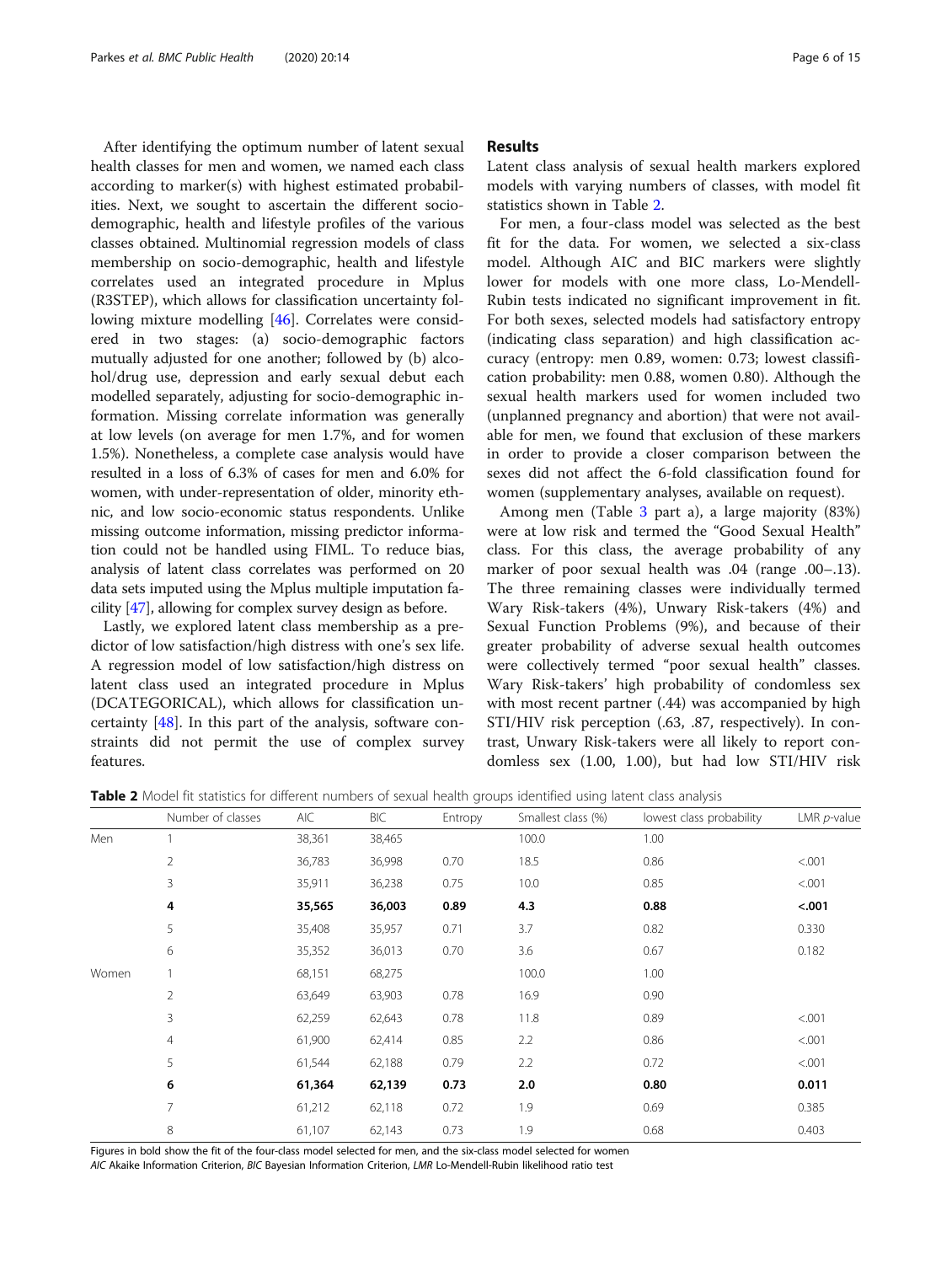After identifying the optimum number of latent sexual health classes for men and women, we named each class according to marker(s) with highest estimated probabilities. Next, we sought to ascertain the different sociodemographic, health and lifestyle profiles of the various classes obtained. Multinomial regression models of class membership on socio-demographic, health and lifestyle correlates used an integrated procedure in Mplus (R3STEP), which allows for classification uncertainty following mixture modelling [\[46\]](#page-14-0). Correlates were considered in two stages: (a) socio-demographic factors mutually adjusted for one another; followed by (b) alcohol/drug use, depression and early sexual debut each modelled separately, adjusting for socio-demographic information. Missing correlate information was generally at low levels (on average for men 1.7%, and for women 1.5%). Nonetheless, a complete case analysis would have resulted in a loss of 6.3% of cases for men and 6.0% for women, with under-representation of older, minority ethnic, and low socio-economic status respondents. Unlike missing outcome information, missing predictor information could not be handled using FIML. To reduce bias, analysis of latent class correlates was performed on 20 data sets imputed using the Mplus multiple imputation facility [[47](#page-14-0)], allowing for complex survey design as before.

Lastly, we explored latent class membership as a predictor of low satisfaction/high distress with one's sex life. A regression model of low satisfaction/high distress on latent class used an integrated procedure in Mplus (DCATEGORICAL), which allows for classification uncertainty [\[48\]](#page-14-0). In this part of the analysis, software constraints did not permit the use of complex survey features.

# Results

Latent class analysis of sexual health markers explored models with varying numbers of classes, with model fit statistics shown in Table 2.

For men, a four-class model was selected as the best fit for the data. For women, we selected a six-class model. Although AIC and BIC markers were slightly lower for models with one more class, Lo-Mendell-Rubin tests indicated no significant improvement in fit. For both sexes, selected models had satisfactory entropy (indicating class separation) and high classification accuracy (entropy: men 0.89, women: 0.73; lowest classification probability: men 0.88, women 0.80). Although the sexual health markers used for women included two (unplanned pregnancy and abortion) that were not available for men, we found that exclusion of these markers in order to provide a closer comparison between the sexes did not affect the 6-fold classification found for women (supplementary analyses, available on request).

Among men (Table [3](#page-6-0) part a), a large majority (83%) were at low risk and termed the "Good Sexual Health" class. For this class, the average probability of any marker of poor sexual health was .04 (range .00–.13). The three remaining classes were individually termed Wary Risk-takers (4%), Unwary Risk-takers (4%) and Sexual Function Problems (9%), and because of their greater probability of adverse sexual health outcomes were collectively termed "poor sexual health" classes. Wary Risk-takers' high probability of condomless sex with most recent partner (.44) was accompanied by high STI/HIV risk perception (.63, .87, respectively). In contrast, Unwary Risk-takers were all likely to report condomless sex (1.00, 1.00), but had low STI/HIV risk

Table 2 Model fit statistics for different numbers of sexual health groups identified using latent class analysis

|       | Number of classes | AIC    | <b>BIC</b> | Entropy | Smallest class (%) | lowest class probability | LMR $p$ -value |
|-------|-------------------|--------|------------|---------|--------------------|--------------------------|----------------|
| Men   |                   | 38,361 | 38,465     |         | 100.0              | 1.00                     |                |
|       | $\overline{2}$    | 36,783 | 36,998     | 0.70    | 18.5               | 0.86                     | < .001         |
|       | 3                 | 35,911 | 36,238     | 0.75    | 10.0               | 0.85                     | < .001         |
|       | 4                 | 35,565 | 36,003     | 0.89    | 4.3                | 0.88                     | < .001         |
|       | 5                 | 35,408 | 35,957     | 0.71    | 3.7                | 0.82                     | 0.330          |
|       | 6                 | 35,352 | 36,013     | 0.70    | 3.6                | 0.67                     | 0.182          |
| Women |                   | 68,151 | 68,275     |         | 100.0              | 1.00                     |                |
|       | $\overline{2}$    | 63,649 | 63,903     | 0.78    | 16.9               | 0.90                     |                |
|       | 3                 | 62,259 | 62,643     | 0.78    | 11.8               | 0.89                     | < .001         |
|       | 4                 | 61,900 | 62,414     | 0.85    | 2.2                | 0.86                     | < .001         |
|       | 5                 | 61,544 | 62,188     | 0.79    | 2.2                | 0.72                     | < .001         |
|       | 6                 | 61,364 | 62,139     | 0.73    | 2.0                | 0.80                     | 0.011          |
|       | 7                 | 61,212 | 62,118     | 0.72    | 1.9                | 0.69                     | 0.385          |
|       | 8                 | 61,107 | 62,143     | 0.73    | 1.9                | 0.68                     | 0.403          |
|       |                   |        |            |         |                    |                          |                |

Figures in bold show the fit of the four-class model selected for men, and the six-class model selected for women

AIC Akaike Information Criterion, BIC Bayesian Information Criterion, LMR Lo-Mendell-Rubin likelihood ratio test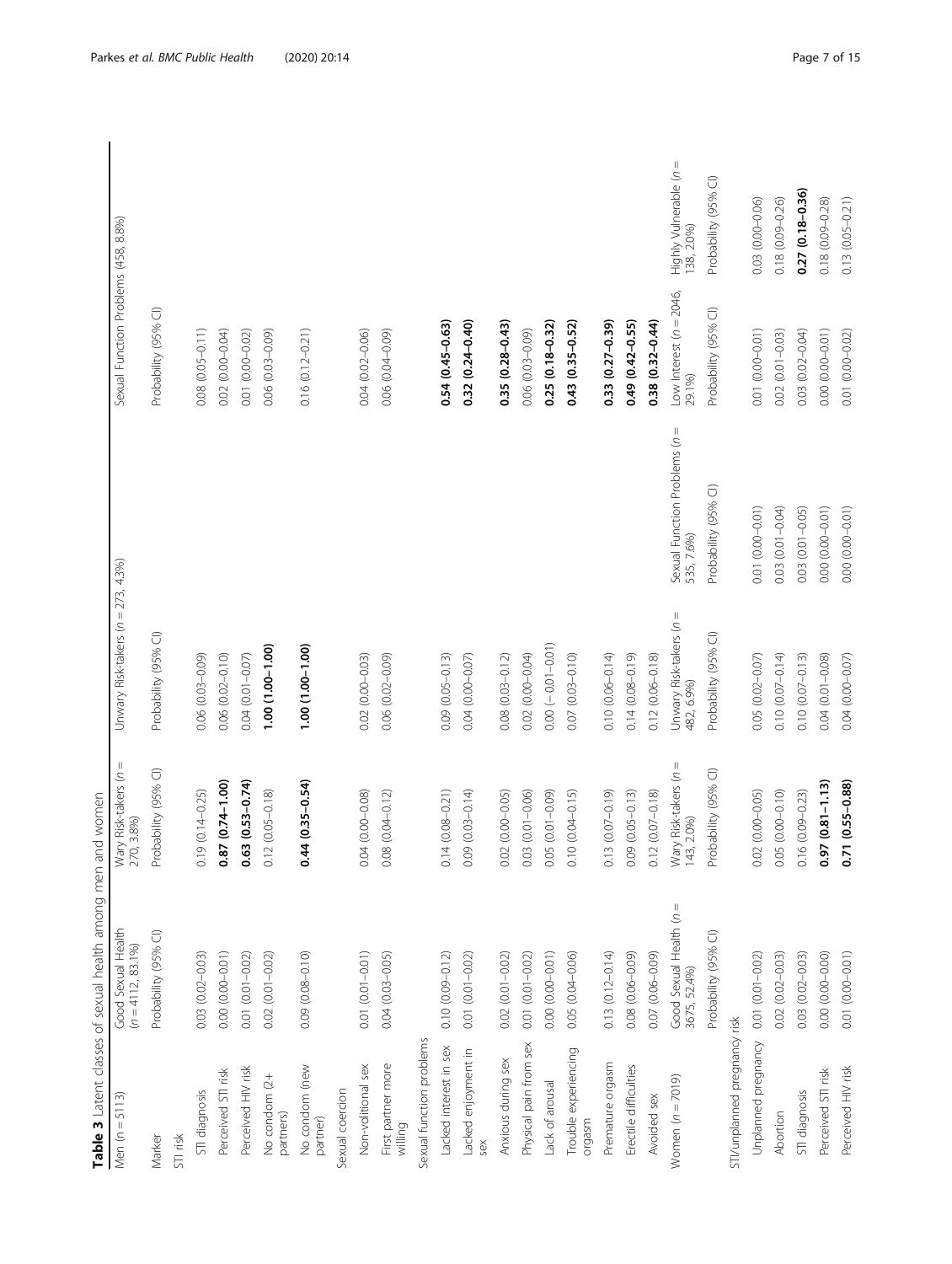<span id="page-6-0"></span>

| Men $(n = 5113)$               | Table 3 Latent classes of sexual health among men<br>Good Sexual Health<br>$(n = 4112, 83.1\%)$ | $\mid \mid$<br>Wary Risk-takers (n -<br>270, 3.8%)<br>and women | Unwary Risk-takers (n = 273, 4.3%)    |                                             | Sexual Function Problems (458, 8.8%)  |                                      |
|--------------------------------|-------------------------------------------------------------------------------------------------|-----------------------------------------------------------------|---------------------------------------|---------------------------------------------|---------------------------------------|--------------------------------------|
| Marker<br>STI risk             | Probability (95% CI)                                                                            | Probability (95% CI)                                            | Probability (95% CI)                  |                                             | Probability (95% CI)                  |                                      |
| STI diagnosis                  | 0.03 (0.02-0.03)                                                                                | $0.19(0.14 - 0.25)$                                             | $0.06(0.03 - 0.09)$                   |                                             | $0.08$ $(0.05 - 0.11)$                |                                      |
| Perceived STI risk             | 0.00 (0.00-0.01)                                                                                | $0.87(0.74 - 1.00)$                                             | $0.06$ $(0.02 - 0.10)$                |                                             | $0.02(0.00 - 0.04)$                   |                                      |
| Perceived HIV risk             | 0.01 (0.01-0.02)                                                                                | $0.63(0.53 - 0.74)$                                             | 0.04 (0.01-0.07)                      |                                             | 0.01 (0.00-0.02)                      |                                      |
| No condom (2+<br>partners)     | 0.02 (0.01-0.02)                                                                                | $12(0.05 - 0.18)$<br>Õ                                          | 1.00 (1.00-1.00)                      |                                             | $0.06(0.03 - 0.09)$                   |                                      |
| No condom (new<br>partner)     | 0.09 (0.08-0.10)                                                                                | $0.44(0.35 - 0.54)$                                             | $1.00(1.00 - 1.00)$                   |                                             | $0.16(0.12 - 0.21)$                   |                                      |
| Sexual coercion                |                                                                                                 |                                                                 |                                       |                                             |                                       |                                      |
| Non-volitional sex             | 0.01 (0.01-0.01)                                                                                | $0.04(0.00 - 0.08)$                                             | $0.02(0.00 - 0.03)$                   |                                             | $0.04(0.02 - 0.06)$                   |                                      |
| First partner more<br>willing  | 0.04 (0.03-0.05)                                                                                | $0.08(0.04 - 0.12)$                                             | 0.06 (0.02-0.09)                      |                                             | 0.06 (0.04-0.09)                      |                                      |
| Sexual function problems       |                                                                                                 |                                                                 |                                       |                                             |                                       |                                      |
| Lacked interest in sex         | $0.10(0.09 - 0.12)$                                                                             | $0.14(0.08 - 0.21)$                                             | $0.09(0.05 - 0.13)$                   |                                             | $0.54(0.45 - 0.63)$                   |                                      |
| Lacked enjoyment in<br>sex     | 0.01 (0.01-0.02)                                                                                | $0.09(0.03 - 0.14)$                                             | 0.04 (0.00-0.07)                      |                                             | $0.32(0.24 - 0.40)$                   |                                      |
| Anxious during sex             | 0.02 (0.01-0.02)                                                                                | $0.02(0.00 - 0.05)$                                             | $0.08$ $(0.03 - 0.12)$                |                                             | $0.35(0.28 - 0.43)$                   |                                      |
| Physical pain from sex         | 0.01 (0.01-0.02)                                                                                | $0.03$ $(0.01 - 0.06)$                                          | 0.02 (0.00-0.04)                      |                                             | $0.06(0.03 - 0.09)$                   |                                      |
| Lack of arousal                | 0.00 (0.00-0.01)                                                                                | $0.05(0.01 - 0.09)$                                             | $0.00 (-0.01 - 0.01)$                 |                                             | $0.25(0.18 - 0.32)$                   |                                      |
| Trouble experiencing<br>orgasm | 0.05 (0.04-0.06)                                                                                | $0.10(0.04 - 0.15)$                                             | $0.07(0.03 - 0.10)$                   |                                             | 0.43 (0.35-0.52)                      |                                      |
| Premature orgasm               | $0.13(0.12 - 0.14)$                                                                             | $0.13(0.07 - 0.19)$                                             | $0.10(0.06 - 0.14)$                   |                                             | 0.33 (0.27-0.39)                      |                                      |
| Erectile difficulties          | 0.08 (0.06-0.09)                                                                                | $0.09(0.05 - 0.13)$                                             | $0.14(0.08 - 0.19)$                   |                                             | 0.49 (0.42-0.55)                      |                                      |
| Avoided sex                    | 0.07 (0.06-0.09)                                                                                | $0.12(0.07 - 0.18)$                                             | $0.12(0.06 - 0.18)$                   |                                             | $0.38(0.32 - 0.44)$                   |                                      |
| Women $(n = 7019)$             | Good Sexual Health (n =<br>3675, 52.4%)                                                         | Wary Risk-takers ( $n = 143$ , 2.0%)                            | Unwary Risk-takers (n =<br>482, 6.9%) | Sexual Function Problems (n =<br>535, 7.6%) | Low Interest ( $n = 2046$ ,<br>29.1%) | Highly Vulnerable (n =<br>138, 2.0%) |
|                                | Probability (95% CI)                                                                            | Probability (95% CI)                                            | Probability (95% CI)                  | Probability (95% CI)                        | $\widehat{\cup}$<br>Probability (95%  | Probability (95% CI)                 |
| STI/unplanned pregnancy risk   |                                                                                                 |                                                                 |                                       |                                             |                                       |                                      |
| Unplanned pregnancy            | 0.01 (0.01-0.02)                                                                                | $0.02(0.00 - 0.05)$                                             | $0.05(0.02 - 0.07)$                   | 0.01 (0.00-0.01)                            | 0.01 (0.00-0.01)                      | 0.03 (0.00-0.06)                     |
| Abortion                       | 0.02 (0.02-0.03)                                                                                | $0.05(0.00 - 0.10)$                                             | $0.10(0.07 - 0.14)$                   | 0.03 (0.01-0.04)                            | $0.02(0.01 - 0.03)$                   | $0.18(0.09 - 0.26)$                  |
| STI diagnosis                  | 0.03 (0.02-0.03)                                                                                | $0.16(0.09 - 0.23)$                                             | $0.10(0.07 - 0.13)$                   | 0.03 (0.01-0.05)                            | $0.03$ $(0.02 - 0.04)$                | 0.27 (0.18-0.36)                     |
| Perceived STI risk             | 0.00 (0.00-0.00)                                                                                | $0.97(0.81 - 1.13)$                                             | $0.04(0.01 - 0.08)$                   | 0.00 (0.00-0.01)                            | $0.00 (0.00 - 0.01)$                  | $0.18(0.09 - 0.28)$                  |
| Perceived HIV risk             | 0.01 (0.00-0.01)                                                                                | 0.71 (0.55-0.88)                                                | $0.04(0.00 - 0.07)$                   | $0.00(0.00 - 0.01)$                         | 0.01 (0.00-0.02)                      | $0.13(0.05 - 0.21)$                  |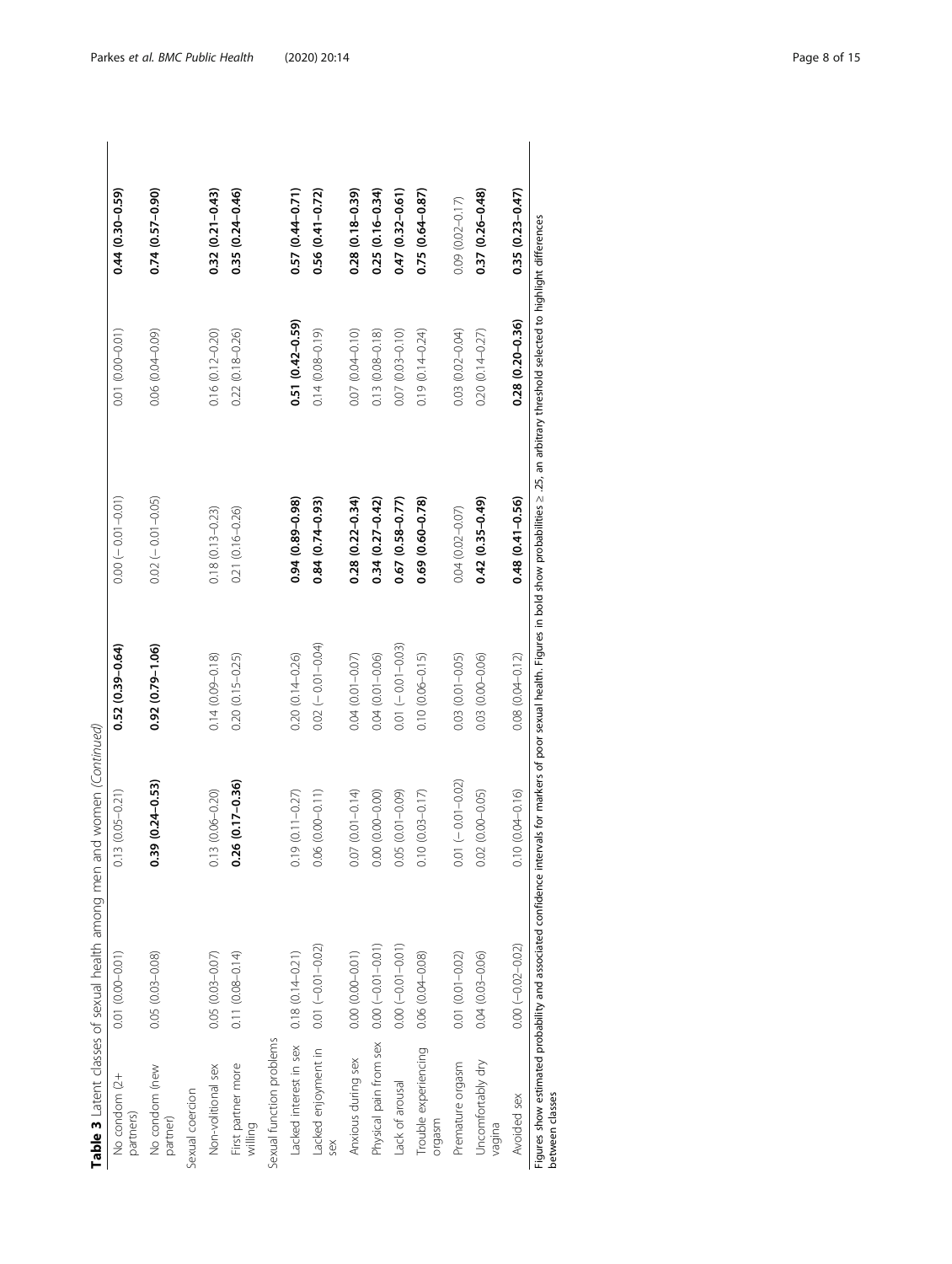|                                         | Table 3 Latent classes of sexual health among men and women (Continued) |                        |                        |                                                                                                                                                                                                             |                        |                     |
|-----------------------------------------|-------------------------------------------------------------------------|------------------------|------------------------|-------------------------------------------------------------------------------------------------------------------------------------------------------------------------------------------------------------|------------------------|---------------------|
| No condom (2+<br>partners)              | 0.01 (0.00-0.01)                                                        | $0.13(0.05 - 0.21)$    | $0.52(0.39 - 0.64)$    | $0.00(-0.01 - 0.01)$                                                                                                                                                                                        | 0.01 (0.00-0.01)       | $0.44(0.30 - 0.59)$ |
| No condom (new<br>partner)              | $0.05(0.03 - 0.08)$                                                     | $(0.24 - 0.53)$<br>ွ   | $0.92(0.79 - 1.06)$    | $0.02 (-0.01 - 0.05)$                                                                                                                                                                                       | 0.06 (0.04-0.09)       | $0.74(0.57 - 0.90)$ |
| Sexual coercion                         |                                                                         |                        |                        |                                                                                                                                                                                                             |                        |                     |
| Non-volitional sex                      | $0.05(0.03 - 0.07)$                                                     | $0.13(0.06 - 0.20)$    | $0.14(0.09 - 0.18)$    | $0.18(0.13 - 0.23)$                                                                                                                                                                                         | $0.16$ $(0.12 - 0.20)$ | $0.32(0.21 - 0.43)$ |
| First partner more<br>willing           | $0.11(0.08 - 0.14)$                                                     | $0.26(0.17 - 0.36)$    | $0.20(0.15 - 0.25)$    | 0.21 (0.16-0.26)                                                                                                                                                                                            | $0.22(0.18 - 0.26)$    | $0.35(0.24 - 0.46)$ |
| Sexual function problems                |                                                                         |                        |                        |                                                                                                                                                                                                             |                        |                     |
| Lacked interest in sex 0.18 (0.14-0.21) |                                                                         | $0.19$ $(0.11 - 0.27)$ | $0.20(0.14 - 0.26)$    | $0.94(0.89 - 0.98)$                                                                                                                                                                                         | 0.51 (0.42-0.59)       | 0.57 (0.44-0.71)    |
| Lacked enjoyment in<br>sex              | $0.01 (-0.01 - 0.02)$                                                   | $0.06$ $(0.00 - 0.11)$ | $0.02 (-0.01 - 0.04)$  | $0.84(0.74 - 0.93)$                                                                                                                                                                                         | $0.14(0.08 - 0.19)$    | $0.56(0.41 - 0.72)$ |
| Anxious during sex                      | 0.00 (0.00-0.01)                                                        | $0.07(0.01 - 0.14)$    | 0.04 (0.01-0.07)       | $0.28(0.22 - 0.34)$                                                                                                                                                                                         | 0.07 (0.04-0.10)       | $0.28(0.18-0.39)$   |
| Physical pain from sex                  | $0.00(-0.01-0.01)$                                                      | $0.00(0.00-0.00)$      | 0.04 (0.01-0.06)       | $0.34(0.27 - 0.42)$                                                                                                                                                                                         | $0.13$ $(0.08 - 0.18)$ | $0.25(0.16 - 0.34)$ |
| Lack of arousal                         | $0.00 (-0.01 - 0.01)$                                                   | $0.05(0.01 - 0.09)$    | $0.01 (-0.01 - 0.03)$  | $0.67(0.58 - 0.77)$                                                                                                                                                                                         | $0.07(0.03 - 0.10)$    | $0.47(0.32 - 0.61)$ |
| Trouble experiencing<br>orgasm          | 0.06 (0.04-0.08)                                                        | $0.10 (0.03 - 0.17)$   | $0.10(0.06 - 0.15)$    | $0.69(0.60 - 0.78)$                                                                                                                                                                                         | $0.19(0.14 - 0.24)$    | $0.75(0.64 - 0.87)$ |
| Premature orgasm                        | 0.01 (0.01-0.02)                                                        | $0.01 (-0.01 - 0.02)$  | $0.03$ $(0.01 - 0.05)$ | 0.04 (0.02-0.07)                                                                                                                                                                                            | $0.03$ $(0.02 - 0.04)$ | 0.09 (0.02-0.17)    |
| Uncomfortably dry<br>vagina             | 0.04 (0.03-0.06)                                                        | $0.02(0.00 - 0.05)$    | $0.03$ $(0.00 - 0.06)$ | $0.42(0.35 - 0.49)$                                                                                                                                                                                         | $0.20(0.14 - 0.27)$    | $0.37(0.26 - 0.48)$ |
| Avoided sex                             | $0.00 (-0.02 - 0.02)$                                                   | $0.10(0.04 - 0.16)$    | $0.08$ $(0.04 - 0.12)$ | $0.48(0.41 - 0.56)$                                                                                                                                                                                         | $0.28(0.20 - 0.36)$    | $0.35(0.23 - 0.47)$ |
|                                         |                                                                         |                        |                        | Figures show estimated probability and associated confidence intervals for markers of poor sexual health. Figures in bold show probabilities > 25, an arbitrary threshold selected to highlight differences |                        |                     |

 $\sum_{i=1}^{n}$  $\frac{5}{2}$ Figures show estin<br>between classes between classes

Parkes et al. BMC Public Health (2020) 20:14 Page 8 of 15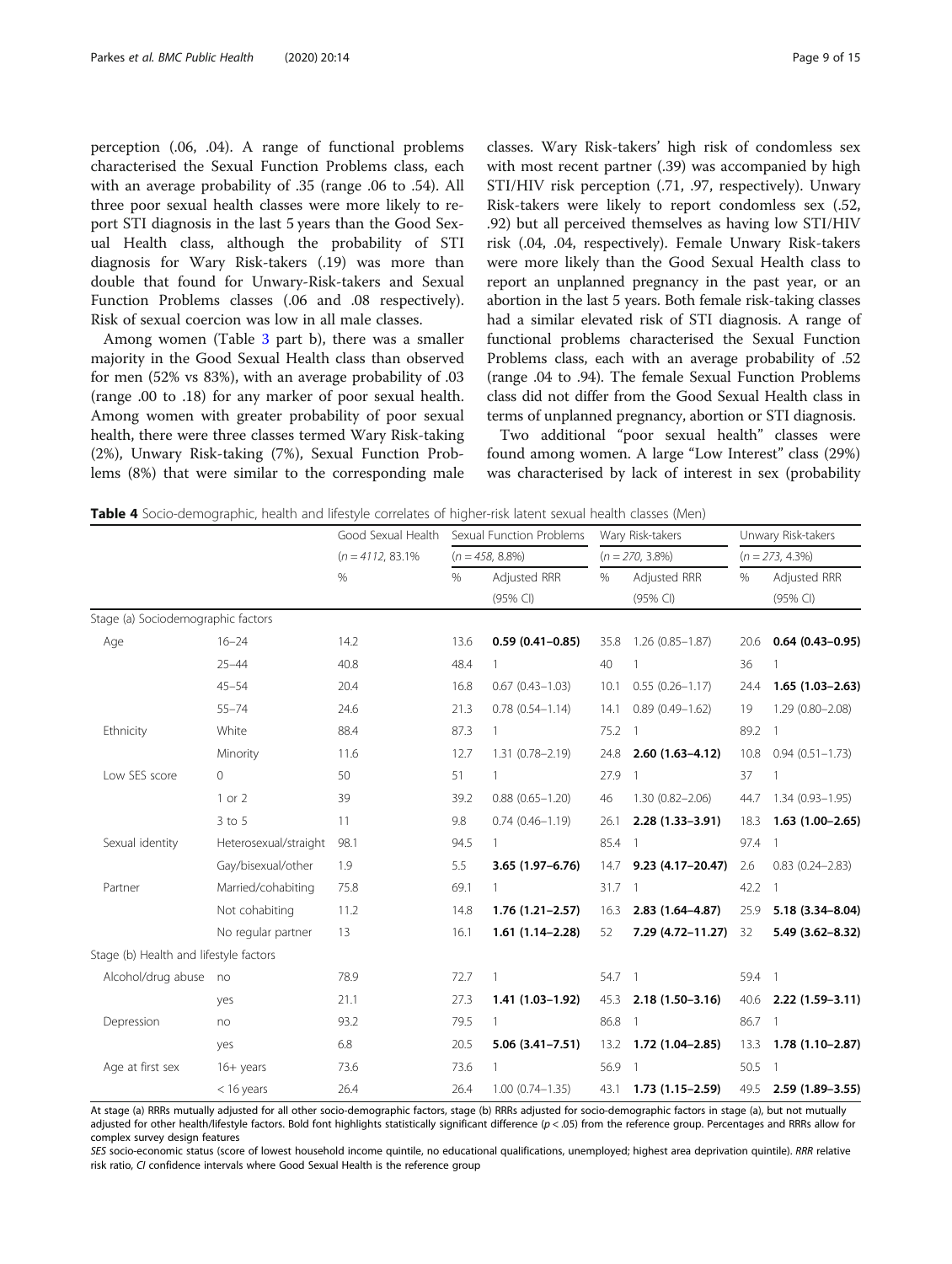<span id="page-8-0"></span>perception (.06, .04). A range of functional problems characterised the Sexual Function Problems class, each with an average probability of .35 (range .06 to .54). All three poor sexual health classes were more likely to report STI diagnosis in the last 5 years than the Good Sexual Health class, although the probability of STI diagnosis for Wary Risk-takers (.19) was more than double that found for Unwary-Risk-takers and Sexual Function Problems classes (.06 and .08 respectively). Risk of sexual coercion was low in all male classes.

Among women (Table [3](#page-6-0) part b), there was a smaller majority in the Good Sexual Health class than observed for men (52% vs 83%), with an average probability of .03 (range .00 to .18) for any marker of poor sexual health. Among women with greater probability of poor sexual health, there were three classes termed Wary Risk-taking (2%), Unwary Risk-taking (7%), Sexual Function Problems (8%) that were similar to the corresponding male

classes. Wary Risk-takers' high risk of condomless sex with most recent partner (.39) was accompanied by high STI/HIV risk perception (.71, .97, respectively). Unwary Risk-takers were likely to report condomless sex (.52, .92) but all perceived themselves as having low STI/HIV risk (.04, .04, respectively). Female Unwary Risk-takers were more likely than the Good Sexual Health class to report an unplanned pregnancy in the past year, or an abortion in the last 5 years. Both female risk-taking classes had a similar elevated risk of STI diagnosis. A range of functional problems characterised the Sexual Function Problems class, each with an average probability of .52 (range .04 to .94). The female Sexual Function Problems class did not differ from the Good Sexual Health class in terms of unplanned pregnancy, abortion or STI diagnosis.

Two additional "poor sexual health" classes were found among women. A large "Low Interest" class (29%) was characterised by lack of interest in sex (probability

(95% CI) (95% CI) (95% CI)

Good Sexual Health Sexual Function Problems Wary Risk-takers Unwary Risk-takers  $(n = 4112, 83.1\%$   $(n = 458, 8.8\%)$   $(n = 270, 3.8\%)$   $(n = 273, 4.3\%)$ % % Adjusted RRR % Adjusted RRR % Adjusted RRR

Table 4 Socio-demographic, health and lifestyle correlates of higher-risk latent sexual health classes (Men)

| Stage (a) Sociodemographic factors     |                       |      |      |                     |                |                                |        |                         |
|----------------------------------------|-----------------------|------|------|---------------------|----------------|--------------------------------|--------|-------------------------|
| Age                                    | $16 - 24$             | 14.2 | 13.6 | $0.59(0.41 - 0.85)$ | 35.8           | $1.26(0.85 - 1.87)$            | 20.6   | $0.64(0.43 - 0.95)$     |
|                                        | $25 - 44$             | 40.8 | 48.4 | $\mathbf{1}$        | 40             | 1                              | 36     | $\mathbf{1}$            |
|                                        | $45 - 54$             | 20.4 | 16.8 | $0.67(0.43 - 1.03)$ | 10.1           | $0.55(0.26 - 1.17)$            | 24.4   | $1.65(1.03 - 2.63)$     |
|                                        | $55 - 74$             | 24.6 | 21.3 | $0.78(0.54 - 1.14)$ | 14.1           | $0.89(0.49 - 1.62)$            | 19     | $1.29(0.80 - 2.08)$     |
| Ethnicity                              | White                 | 88.4 | 87.3 | $\mathbf{1}$        | 75.2           | $\overline{1}$                 | 89.2   | $\overline{1}$          |
|                                        | Minority              | 11.6 | 12.7 | $1.31(0.78 - 2.19)$ | 24.8           | $2.60(1.63-4.12)$              |        | $10.8$ 0.94 (0.51-1.73) |
| Low SES score                          | $\Omega$              | 50   | 51   | $\mathbf{1}$        | 27.9           | $\overline{1}$                 | 37     | $\overline{1}$          |
|                                        | 1 or 2                | 39   | 39.2 | $0.88(0.65 - 1.20)$ | 46             | $1.30(0.82 - 2.06)$            |        | 44.7 1.34 (0.93-1.95)   |
|                                        | 3 to 5                | 11   | 9.8  | $0.74(0.46 - 1.19)$ | 26.1           | $2.28(1.33 - 3.91)$            |        | 18.3 1.63 (1.00-2.65)   |
| Sexual identity                        | Heterosexual/straight | 98.1 | 94.5 | $\mathbf{1}$        | 85.4           | $\overline{1}$                 | 97.4 1 |                         |
|                                        | Gay/bisexual/other    | 1.9  | 5.5  | $3.65(1.97 - 6.76)$ |                | 14.7 9.23 (4.17-20.47)         | 2.6    | $0.83(0.24 - 2.83)$     |
| Partner                                | Married/cohabiting    | 75.8 | 69.1 | $\mathbf{1}$        | $31.7 \quad 1$ |                                | 42.2   | $\overline{1}$          |
|                                        | Not cohabiting        | 11.2 | 14.8 | $1.76(1.21 - 2.57)$ |                | $16.3$ <b>2.83 (1.64–4.87)</b> | 25.9   | 5.18 (3.34-8.04)        |
|                                        | No regular partner    | 13   | 16.1 | $1.61(1.14-2.28)$   | 52             | $7.29(4.72 - 11.27)$ 32        |        | 5.49 (3.62-8.32)        |
| Stage (b) Health and lifestyle factors |                       |      |      |                     |                |                                |        |                         |
| Alcohol/drug abuse no                  |                       | 78.9 | 72.7 | $\mathbf{1}$        | 54.7 1         |                                | 59.4 1 |                         |
|                                        | yes                   | 21.1 | 27.3 | $1.41(1.03-1.92)$   |                | $45.3$ 2.18 (1.50-3.16)        |        | 40.6 2.22 (1.59-3.11)   |
| Depression                             | no                    | 93.2 | 79.5 | $\mathbf{1}$        | 86.8           | $\overline{1}$                 | 86.7 1 |                         |
|                                        | yes                   | 6.8  | 20.5 | $5.06(3.41 - 7.51)$ |                | 13.2 1.72 (1.04–2.85)          |        | 13.3 1.78 (1.10-2.87)   |
| Age at first sex                       | $16+$ years           | 73.6 | 73.6 | 1                   | 56.9           | $\overline{1}$                 | 50.5   | $\overline{1}$          |
|                                        | $<$ 16 years          | 26.4 | 26.4 | $1.00(0.74 - 1.35)$ |                | 43.1 1.73 (1.15-2.59)          | 49.5   | 2.59 (1.89-3.55)        |

At stage (a) RRRs mutually adjusted for all other socio-demographic factors, stage (b) RRRs adjusted for socio-demographic factors in stage (a), but not mutually adjusted for other health/lifestyle factors. Bold font highlights statistically significant difference (p < .05) from the reference group. Percentages and RRRs allow for complex survey design features

SES socio-economic status (score of lowest household income quintile, no educational qualifications, unemployed; highest area deprivation quintile). RRR relative risk ratio, CI confidence intervals where Good Sexual Health is the reference group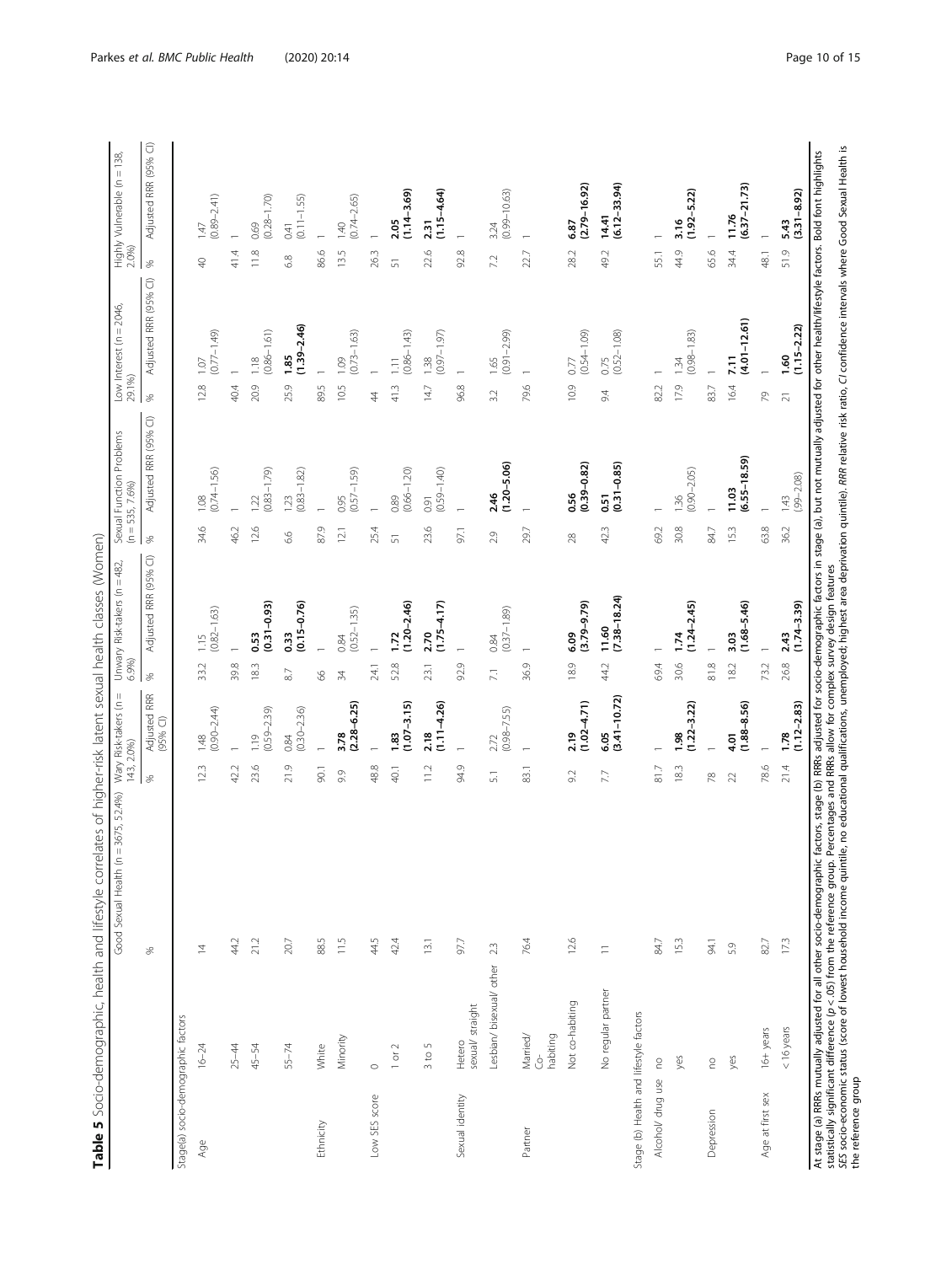| ŗ                                           |
|---------------------------------------------|
| Ś<br>5<br>l<br>İ                            |
|                                             |
| j<br>$\overline{a}$<br>$\ddot{\phantom{0}}$ |
|                                             |
| ì<br>ì                                      |
|                                             |
|                                             |
|                                             |
| ;<br>5<br>ī                                 |
| $\frac{1}{2}$<br>Ī.<br>j<br>l               |
|                                             |
| 5                                           |
| j                                           |
| ・・・・・・・<br>ł                                |
|                                             |
| )<br>S<br>ţ                                 |
|                                             |
| i                                           |
| Ĵ                                           |
| ł<br>$\overline{ }$                         |
| J                                           |
| 5                                           |
|                                             |
| $\overline{ }$                              |
| i<br>í<br>Ξ                                 |
|                                             |
| ١                                           |
| ξ<br>I                                      |
|                                             |
| ï                                           |
| $\frac{1}{2}$<br>Ï                          |
|                                             |
| ٦<br>5<br>5<br>ł                            |
|                                             |
|                                             |
| 5)<br>į<br>ï                                |
| į                                           |
|                                             |
| ł                                           |
| d                                           |
| $\mathbf{r}$                                |
| Ş                                           |
| ミリフ<br>ī                                    |
| ĺ<br>ī                                      |
|                                             |
|                                             |
|                                             |
| Table 5 Sock<br>ľ                           |
|                                             |
|                                             |
|                                             |

<span id="page-9-0"></span>

|                                        |                                                                        | Good Sexual Health (n =                                                                                                                                                                                                                                                                                                                                                  | 3675, 52.4%) Wary Risk-takers (n =<br>143, 2.0%) | 6.9%)             | Unwary Risk-takers (n = 482,                                                                                                                                  |                | Sexual Function Problems<br>$(n = 535, 7.6%)$ | Low Interest ( $n = 2046$ ,<br>29.1%)     | Highly Vulnerable (n = 138,<br>2.0%)       |                  |
|----------------------------------------|------------------------------------------------------------------------|--------------------------------------------------------------------------------------------------------------------------------------------------------------------------------------------------------------------------------------------------------------------------------------------------------------------------------------------------------------------------|--------------------------------------------------|-------------------|---------------------------------------------------------------------------------------------------------------------------------------------------------------|----------------|-----------------------------------------------|-------------------------------------------|--------------------------------------------|------------------|
|                                        |                                                                        | S,                                                                                                                                                                                                                                                                                                                                                                       | Adjusted RRR<br>(95% Cl)<br>S.                   | $\gg$             | Adjusted RRR (95% CI)                                                                                                                                         | $\gg$          | $\widehat{\cup}$<br>Adjusted RRR (95%         | Adjusted RRR (95% CI)<br>$\%$             | Adjusted RRR (95%<br>$\%$                  | $\widehat{\cup}$ |
| Stage(a) socio-demographic factors     |                                                                        |                                                                                                                                                                                                                                                                                                                                                                          |                                                  |                   |                                                                                                                                                               |                |                                               |                                           |                                            |                  |
| Age                                    | $16 - 24$                                                              | $\overline{4}$                                                                                                                                                                                                                                                                                                                                                           | $1.48$<br>$(0.90 - 2.44)$<br>123                 | 33.2              | $(0.82 - 1.63)$<br>1.15                                                                                                                                       | 34,6           | $(0.74 - 1.56)$<br>1.08                       | $(0.77 - 1.49)$<br>1.07<br>12.8           | $\frac{1.47}{(0.89 - 2.41)}$<br>¥          |                  |
|                                        | $25 - 44$                                                              | 44.2                                                                                                                                                                                                                                                                                                                                                                     | 42.2                                             | 39.8              |                                                                                                                                                               | 46.2           |                                               | 40.4                                      | $\overline{\phantom{0}}$<br>41.4           |                  |
|                                        | 45-54                                                                  | 21.2                                                                                                                                                                                                                                                                                                                                                                     | $(0.59 - 2.39)$<br>119<br>23.6                   | 18.3              | $(0.31 - 0.93)$<br>0.53                                                                                                                                       | 126            | $(0.83 - 1.79)$<br>$\overline{2}$             | $(0.86 - 1.61)$<br>1.18<br>20.9           | $(0.28 - 1.70)$<br>0.69<br>118             |                  |
|                                        | $55 - 74$                                                              | 20.7                                                                                                                                                                                                                                                                                                                                                                     | $(0.30 - 2.36)$<br>0.84<br>21.9                  | 87                | $(0.15 - 0.76)$<br>0.33                                                                                                                                       | 6.6            | $(0.83 - 1.82)$<br>1.23                       | $(1.39 - 2.46)$<br>1.85<br>25.9           | $(0.11 - 1.55)$<br>0.41<br>6.8             |                  |
| Ethnicity                              | White                                                                  | 88.5                                                                                                                                                                                                                                                                                                                                                                     | <b>90.1</b>                                      | $\otimes$         |                                                                                                                                                               | 87.9           |                                               | 89.5                                      | $\overline{\phantom{0}}$<br>86.6           |                  |
|                                        | Minority                                                               | 11.5                                                                                                                                                                                                                                                                                                                                                                     | $(2.28 - 6.25)$<br>3.78<br>9.9                   | R                 | $(0.52 - 1.35)$<br>0.84                                                                                                                                       | 12.1           | $(0.57 - 1.59)$<br>0.95                       | $(0.73 - 1.63)$<br>1.09<br>10.5           | $(0.74 - 2.65)$<br>$\overline{40}$<br>13.5 |                  |
| Low SES score                          | $\circ$                                                                | 44.5                                                                                                                                                                                                                                                                                                                                                                     | 48.8                                             | 24.1              |                                                                                                                                                               | 25.4           |                                               | 44                                        | $\overline{\phantom{0}}$<br>26.3           |                  |
|                                        | $\sim$<br>$\overline{\circ}$                                           | 42.4                                                                                                                                                                                                                                                                                                                                                                     | $(1.07 - 3.15)$<br>1.83<br>40,1                  | 52.8              | $(1.20 - 2.46)$<br>1.72                                                                                                                                       | $\overline{5}$ | $(0.66 - 1.20)$<br>0.89                       | $(0.86 - 1.43)$<br>$\equiv$<br>41.3       | $(1.14 - 3.69)$<br>2.05<br>$\overline{5}$  |                  |
|                                        | $\mathsf{L}\cap$<br>3 to                                               | 13.1                                                                                                                                                                                                                                                                                                                                                                     | $(1.11 - 4.26)$<br>2.18<br>11.2                  | 23.1              | $(1.75 - 4.17)$<br>2.70                                                                                                                                       | 23.6           | $(0.59 - 1.40)$<br>$\overline{6}0$            | $(0.97 - 1.97)$<br>1.38<br>14.7           | $(1.15 - 4.64)$<br>2.31<br>22.6            |                  |
| Sexual identity                        | sexual/straight<br>Hetero                                              | 97.7                                                                                                                                                                                                                                                                                                                                                                     | $\overline{\phantom{0}}$<br>94.9                 | 92.9              |                                                                                                                                                               | 97.1           |                                               | 96.8                                      | $\overline{\phantom{0}}$<br>92.8           |                  |
|                                        | Lesbian/bisexual/other                                                 | 23                                                                                                                                                                                                                                                                                                                                                                       | $(0.98 - 7.55)$<br>2.72<br>51                    | $\overline{\sim}$ | $(0.37 - 1.89)$<br>0.84                                                                                                                                       | 2.9            | $(1.20 - 5.06)$<br>2.46                       | $(0.91 - 2.99)$<br>1.65<br>3.2            | $(0.99 - 10.63)$<br>3.24<br>7.2            |                  |
| Partner                                | habiting<br>Married/<br>ģ                                              | 76.4                                                                                                                                                                                                                                                                                                                                                                     | $\overline{\phantom{0}}$<br>83.1                 | 36.9              |                                                                                                                                                               | 29.7           |                                               | 79.6                                      | $\overline{\phantom{0}}$<br>22.7           |                  |
|                                        | Not co-habiting                                                        | 12.6                                                                                                                                                                                                                                                                                                                                                                     | $(1.02 - 4.71)$<br>2.19<br>9.2                   | 18.9              | $(3.79 - 9.79)$<br>6.09                                                                                                                                       | 28             | $(0.39 - 0.82)$<br>0.56                       | $(0.54 - 1.09)$<br>0.77<br>10.9           | $(2.79 - 16.92)$<br>6.87<br>28.2           |                  |
|                                        | No regular partner                                                     | $\equiv$                                                                                                                                                                                                                                                                                                                                                                 | $(3.41 - 10.72)$<br>6.05<br>7.7                  | 44.2              | $(7.38 - 18.24)$<br>11.60                                                                                                                                     | 423            | $(0.31 - 0.85)$<br>0.51                       | $0.75$<br>$(0.52 - 1.08)$<br>64           | $(6.12 - 33.94)$<br>14.41<br>49.2          |                  |
| Stage (b) Health and lifestyle factors |                                                                        |                                                                                                                                                                                                                                                                                                                                                                          |                                                  |                   |                                                                                                                                                               |                |                                               |                                           |                                            |                  |
| Alcohol/ drug use                      | <b>DU</b>                                                              | 84.7                                                                                                                                                                                                                                                                                                                                                                     | 81.7                                             | 69.4              |                                                                                                                                                               | 69.2           |                                               | 82.2                                      | $\overline{ }$<br>55.1                     |                  |
|                                        | yes                                                                    | 15.3                                                                                                                                                                                                                                                                                                                                                                     | $(1.22 - 3.22)$<br><b>1.98</b><br>18.3           | 30.6              | $(1.24 - 2.45)$<br>1.74                                                                                                                                       | 30,8           | $(0.90 - 2.05)$<br>1.36                       | $(0.98 - 1.83)$<br>1.34<br>17.9           | $\frac{3.16}{(1.92 - 5.22)}$<br>44.9       |                  |
| Depression                             | <b>PO</b>                                                              | <b>SE</b>                                                                                                                                                                                                                                                                                                                                                                | 78                                               | $\frac{8}{81.8}$  |                                                                                                                                                               | 84.7           |                                               | 83.7                                      | 65.6                                       |                  |
|                                        | yes                                                                    | 5.9                                                                                                                                                                                                                                                                                                                                                                      | $(1.88 - 8.56)$<br>4.01<br>22                    | 18.2              | $(1.68 - 5.46)$<br>3.03                                                                                                                                       | 15.3           | $(6.55 - 18.59)$<br>11.03                     | $(4.01 - 12.61)$<br>7.11<br>16.4          | $(6.37 - 21.73)$<br>11.76<br>34.4          |                  |
| Age at first sex                       | 16+ years                                                              | $82.7\,$                                                                                                                                                                                                                                                                                                                                                                 | 78.6                                             | 73.2              |                                                                                                                                                               | 63.8           |                                               | 56                                        | 48.1                                       |                  |
|                                        | <16 years                                                              | 173                                                                                                                                                                                                                                                                                                                                                                      | $(1.12 - 2.83)$<br>1.78<br>21.4                  | 26.8              | $(1.74 - 3.39)$<br>2.43                                                                                                                                       | 36.2           | $(.99 - 2.08)$<br>1.43                        | $(1.15 - 2.22)$<br>1.60<br>$\overline{z}$ | $(3.31 - 8.92)$<br>5.43<br>51.9            |                  |
| the reference group                    | At stage (a) RRRs mutually adjusted for all other socio-demographic fa | SES socio-economic status (score of lowest household income quintile, no educational qualifications, unemployed; highest area deprivation quintile). RRR relative risk ratio, CI confidence intervals where Good Sexual Health<br>statistically significant difference (p < .05) from the reference group. Percentages and RRRs allow for complex survey design features |                                                  |                   | ctors, stage (b) RRRs adjusted for socio-demographic factors in stage (a), but not mutually adjusted for other health/lifestyle factors. Bold font highlights |                |                                               |                                           |                                            |                  |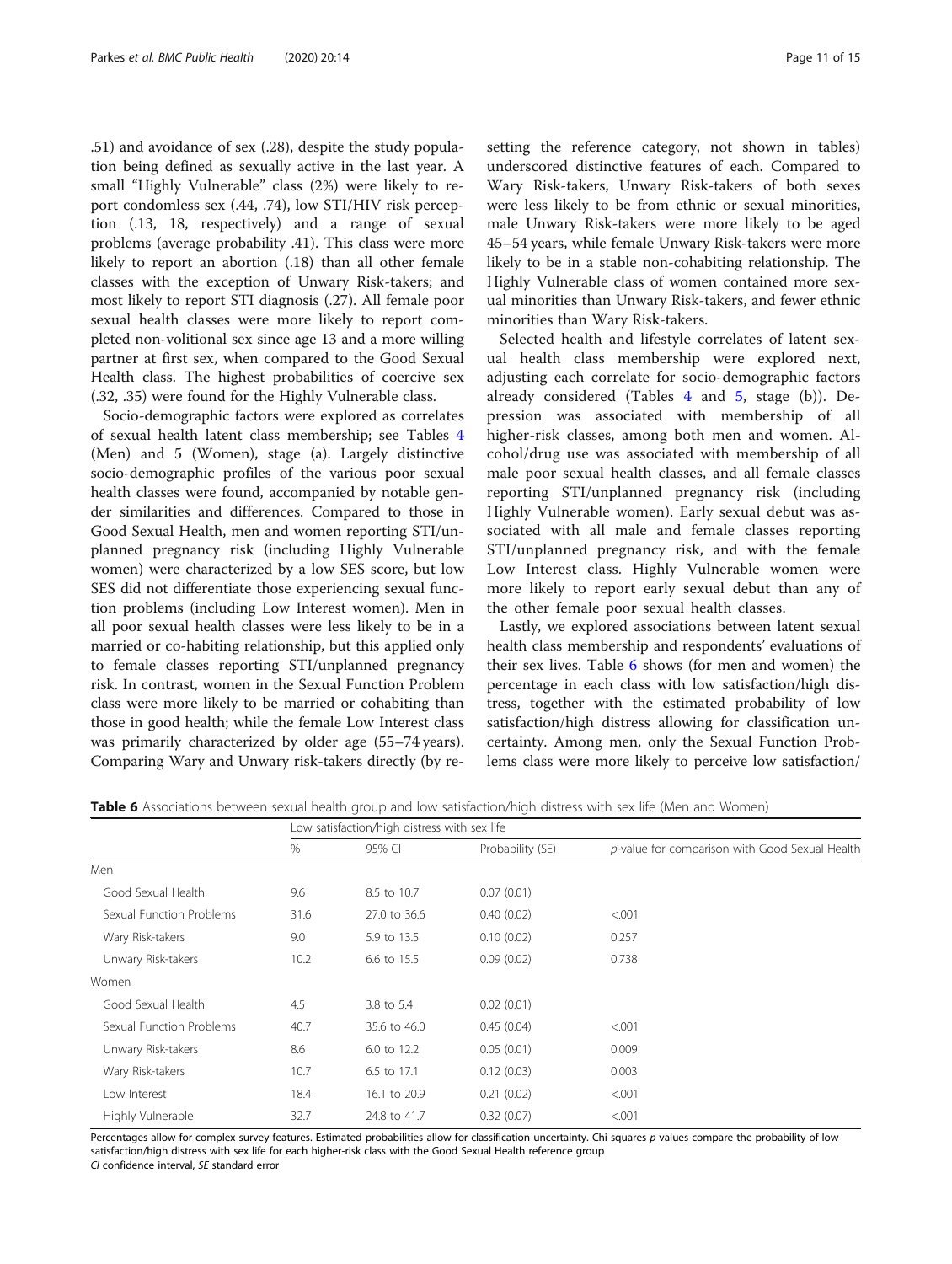.51) and avoidance of sex (.28), despite the study population being defined as sexually active in the last year. A small "Highly Vulnerable" class (2%) were likely to report condomless sex (.44, .74), low STI/HIV risk perception (.13, 18, respectively) and a range of sexual problems (average probability .41). This class were more likely to report an abortion (.18) than all other female classes with the exception of Unwary Risk-takers; and most likely to report STI diagnosis (.27). All female poor sexual health classes were more likely to report completed non-volitional sex since age 13 and a more willing partner at first sex, when compared to the Good Sexual Health class. The highest probabilities of coercive sex (.32, .35) were found for the Highly Vulnerable class.

Socio-demographic factors were explored as correlates of sexual health latent class membership; see Tables [4](#page-8-0) (Men) and 5 (Women), stage (a). Largely distinctive socio-demographic profiles of the various poor sexual health classes were found, accompanied by notable gender similarities and differences. Compared to those in Good Sexual Health, men and women reporting STI/unplanned pregnancy risk (including Highly Vulnerable women) were characterized by a low SES score, but low SES did not differentiate those experiencing sexual function problems (including Low Interest women). Men in all poor sexual health classes were less likely to be in a married or co-habiting relationship, but this applied only to female classes reporting STI/unplanned pregnancy risk. In contrast, women in the Sexual Function Problem class were more likely to be married or cohabiting than those in good health; while the female Low Interest class was primarily characterized by older age (55–74 years). Comparing Wary and Unwary risk-takers directly (by resetting the reference category, not shown in tables) underscored distinctive features of each. Compared to Wary Risk-takers, Unwary Risk-takers of both sexes were less likely to be from ethnic or sexual minorities, male Unwary Risk-takers were more likely to be aged 45–54 years, while female Unwary Risk-takers were more likely to be in a stable non-cohabiting relationship. The Highly Vulnerable class of women contained more sexual minorities than Unwary Risk-takers, and fewer ethnic minorities than Wary Risk-takers.

Selected health and lifestyle correlates of latent sexual health class membership were explored next, adjusting each correlate for socio-demographic factors already considered (Tables [4](#page-8-0) and [5](#page-9-0), stage (b)). Depression was associated with membership of all higher-risk classes, among both men and women. Alcohol/drug use was associated with membership of all male poor sexual health classes, and all female classes reporting STI/unplanned pregnancy risk (including Highly Vulnerable women). Early sexual debut was associated with all male and female classes reporting STI/unplanned pregnancy risk, and with the female Low Interest class. Highly Vulnerable women were more likely to report early sexual debut than any of the other female poor sexual health classes.

Lastly, we explored associations between latent sexual health class membership and respondents' evaluations of their sex lives. Table 6 shows (for men and women) the percentage in each class with low satisfaction/high distress, together with the estimated probability of low satisfaction/high distress allowing for classification uncertainty. Among men, only the Sexual Function Problems class were more likely to perceive low satisfaction/

| <b>Table 6</b> Associations between sexual health group and low satisfaction/high distress with sex life (Men and Women) |  |
|--------------------------------------------------------------------------------------------------------------------------|--|
|--------------------------------------------------------------------------------------------------------------------------|--|

|                          |      | Low satisfaction/high distress with sex life |                  |                                                |
|--------------------------|------|----------------------------------------------|------------------|------------------------------------------------|
|                          | %    | 95% CI                                       | Probability (SE) | p-value for comparison with Good Sexual Health |
| Men                      |      |                                              |                  |                                                |
| Good Sexual Health       | 9.6  | 8.5 to 10.7                                  | 0.07(0.01)       |                                                |
| Sexual Function Problems | 31.6 | 27.0 to 36.6                                 | 0.40(0.02)       | < 0.001                                        |
| Wary Risk-takers         | 9.0  | 5.9 to 13.5                                  | 0.10(0.02)       | 0.257                                          |
| Unwary Risk-takers       | 10.2 | 6.6 to 15.5                                  | 0.09(0.02)       | 0.738                                          |
| Women                    |      |                                              |                  |                                                |
| Good Sexual Health       | 4.5  | 3.8 to 5.4                                   | 0.02(0.01)       |                                                |
| Sexual Function Problems | 40.7 | 35.6 to 46.0                                 | 0.45(0.04)       | < 0.001                                        |
| Unwary Risk-takers       | 8.6  | 6.0 to 12.2                                  | 0.05(0.01)       | 0.009                                          |
| Wary Risk-takers         | 10.7 | 6.5 to 17.1                                  | 0.12(0.03)       | 0.003                                          |
| Low Interest             | 18.4 | 16.1 to 20.9                                 | 0.21(0.02)       | < 0.001                                        |
| Highly Vulnerable        | 32.7 | 24.8 to 41.7                                 | 0.32(0.07)       | < 0.001                                        |

Percentages allow for complex survey features. Estimated probabilities allow for classification uncertainty. Chi-squares p-values compare the probability of low satisfaction/high distress with sex life for each higher-risk class with the Good Sexual Health reference group

CI confidence interval, SE standard error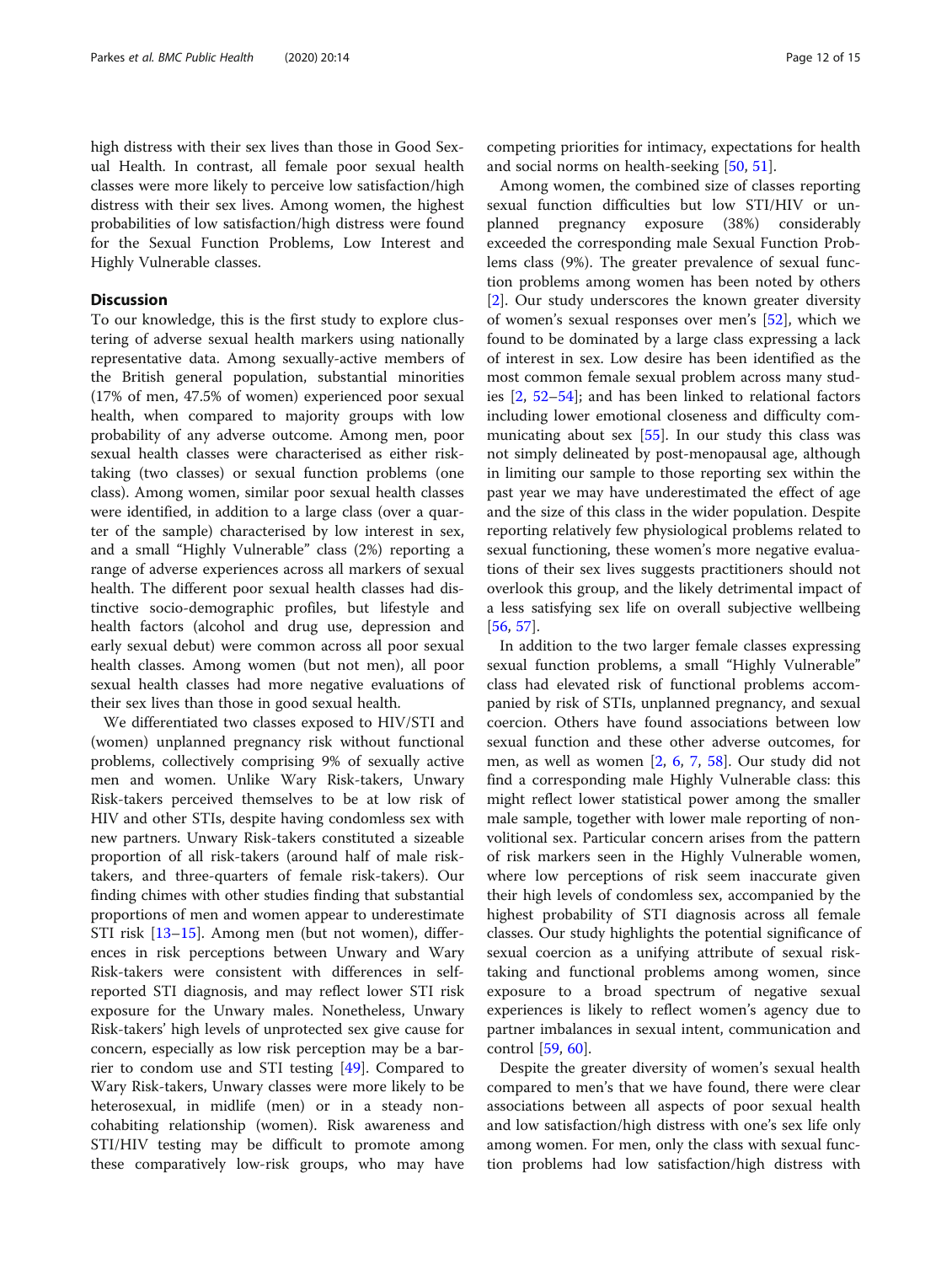high distress with their sex lives than those in Good Sexual Health. In contrast, all female poor sexual health classes were more likely to perceive low satisfaction/high distress with their sex lives. Among women, the highest probabilities of low satisfaction/high distress were found for the Sexual Function Problems, Low Interest and Highly Vulnerable classes.

# **Discussion**

To our knowledge, this is the first study to explore clustering of adverse sexual health markers using nationally representative data. Among sexually-active members of the British general population, substantial minorities (17% of men, 47.5% of women) experienced poor sexual health, when compared to majority groups with low probability of any adverse outcome. Among men, poor sexual health classes were characterised as either risktaking (two classes) or sexual function problems (one class). Among women, similar poor sexual health classes were identified, in addition to a large class (over a quarter of the sample) characterised by low interest in sex, and a small "Highly Vulnerable" class (2%) reporting a range of adverse experiences across all markers of sexual health. The different poor sexual health classes had distinctive socio-demographic profiles, but lifestyle and health factors (alcohol and drug use, depression and early sexual debut) were common across all poor sexual health classes. Among women (but not men), all poor sexual health classes had more negative evaluations of their sex lives than those in good sexual health.

We differentiated two classes exposed to HIV/STI and (women) unplanned pregnancy risk without functional problems, collectively comprising 9% of sexually active men and women. Unlike Wary Risk-takers, Unwary Risk-takers perceived themselves to be at low risk of HIV and other STIs, despite having condomless sex with new partners. Unwary Risk-takers constituted a sizeable proportion of all risk-takers (around half of male risktakers, and three-quarters of female risk-takers). Our finding chimes with other studies finding that substantial proportions of men and women appear to underestimate STI risk [\[13](#page-13-0)–[15\]](#page-13-0). Among men (but not women), differences in risk perceptions between Unwary and Wary Risk-takers were consistent with differences in selfreported STI diagnosis, and may reflect lower STI risk exposure for the Unwary males. Nonetheless, Unwary Risk-takers' high levels of unprotected sex give cause for concern, especially as low risk perception may be a barrier to condom use and STI testing [[49\]](#page-14-0). Compared to Wary Risk-takers, Unwary classes were more likely to be heterosexual, in midlife (men) or in a steady noncohabiting relationship (women). Risk awareness and STI/HIV testing may be difficult to promote among these comparatively low-risk groups, who may have

competing priorities for intimacy, expectations for health and social norms on health-seeking [\[50,](#page-14-0) [51\]](#page-14-0).

Among women, the combined size of classes reporting sexual function difficulties but low STI/HIV or unplanned pregnancy exposure (38%) considerably exceeded the corresponding male Sexual Function Problems class (9%). The greater prevalence of sexual function problems among women has been noted by others [[2\]](#page-13-0). Our study underscores the known greater diversity of women's sexual responses over men's [\[52](#page-14-0)], which we found to be dominated by a large class expressing a lack of interest in sex. Low desire has been identified as the most common female sexual problem across many studies [[2](#page-13-0), [52](#page-14-0)–[54](#page-14-0)]; and has been linked to relational factors including lower emotional closeness and difficulty communicating about sex [\[55](#page-14-0)]. In our study this class was not simply delineated by post-menopausal age, although in limiting our sample to those reporting sex within the past year we may have underestimated the effect of age and the size of this class in the wider population. Despite reporting relatively few physiological problems related to sexual functioning, these women's more negative evaluations of their sex lives suggests practitioners should not overlook this group, and the likely detrimental impact of a less satisfying sex life on overall subjective wellbeing [[56,](#page-14-0) [57\]](#page-14-0).

In addition to the two larger female classes expressing sexual function problems, a small "Highly Vulnerable" class had elevated risk of functional problems accompanied by risk of STIs, unplanned pregnancy, and sexual coercion. Others have found associations between low sexual function and these other adverse outcomes, for men, as well as women [[2,](#page-13-0) [6,](#page-13-0) [7,](#page-13-0) [58\]](#page-14-0). Our study did not find a corresponding male Highly Vulnerable class: this might reflect lower statistical power among the smaller male sample, together with lower male reporting of nonvolitional sex. Particular concern arises from the pattern of risk markers seen in the Highly Vulnerable women, where low perceptions of risk seem inaccurate given their high levels of condomless sex, accompanied by the highest probability of STI diagnosis across all female classes. Our study highlights the potential significance of sexual coercion as a unifying attribute of sexual risktaking and functional problems among women, since exposure to a broad spectrum of negative sexual experiences is likely to reflect women's agency due to partner imbalances in sexual intent, communication and control [\[59](#page-14-0), [60\]](#page-14-0).

Despite the greater diversity of women's sexual health compared to men's that we have found, there were clear associations between all aspects of poor sexual health and low satisfaction/high distress with one's sex life only among women. For men, only the class with sexual function problems had low satisfaction/high distress with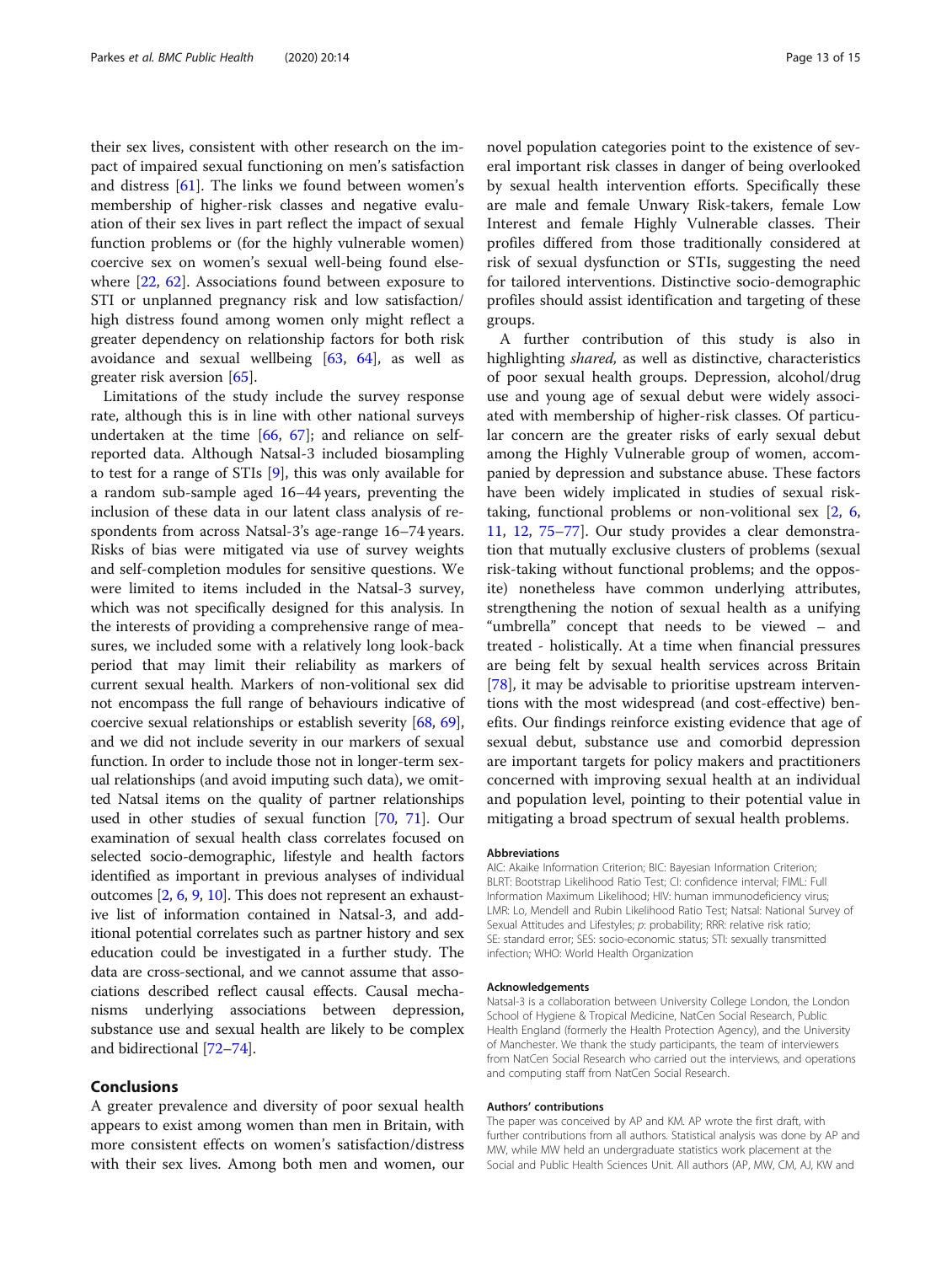their sex lives, consistent with other research on the impact of impaired sexual functioning on men's satisfaction and distress [[61\]](#page-14-0). The links we found between women's membership of higher-risk classes and negative evaluation of their sex lives in part reflect the impact of sexual function problems or (for the highly vulnerable women) coercive sex on women's sexual well-being found elsewhere [\[22,](#page-13-0) [62](#page-14-0)]. Associations found between exposure to STI or unplanned pregnancy risk and low satisfaction/ high distress found among women only might reflect a greater dependency on relationship factors for both risk avoidance and sexual wellbeing [[63,](#page-14-0) [64](#page-14-0)], as well as greater risk aversion [[65\]](#page-14-0).

Limitations of the study include the survey response rate, although this is in line with other national surveys undertaken at the time [\[66](#page-14-0), [67](#page-14-0)]; and reliance on selfreported data. Although Natsal-3 included biosampling to test for a range of STIs [\[9](#page-13-0)], this was only available for a random sub-sample aged 16–44 years, preventing the inclusion of these data in our latent class analysis of respondents from across Natsal-3's age-range 16–74 years. Risks of bias were mitigated via use of survey weights and self-completion modules for sensitive questions. We were limited to items included in the Natsal-3 survey, which was not specifically designed for this analysis. In the interests of providing a comprehensive range of measures, we included some with a relatively long look-back period that may limit their reliability as markers of current sexual health. Markers of non-volitional sex did not encompass the full range of behaviours indicative of coercive sexual relationships or establish severity [[68](#page-14-0), [69](#page-14-0)], and we did not include severity in our markers of sexual function. In order to include those not in longer-term sexual relationships (and avoid imputing such data), we omitted Natsal items on the quality of partner relationships used in other studies of sexual function [\[70,](#page-14-0) [71\]](#page-14-0). Our examination of sexual health class correlates focused on selected socio-demographic, lifestyle and health factors identified as important in previous analyses of individual outcomes [\[2,](#page-13-0) [6](#page-13-0), [9,](#page-13-0) [10](#page-13-0)]. This does not represent an exhaustive list of information contained in Natsal-3, and additional potential correlates such as partner history and sex education could be investigated in a further study. The data are cross-sectional, and we cannot assume that associations described reflect causal effects. Causal mechanisms underlying associations between depression, substance use and sexual health are likely to be complex and bidirectional [[72](#page-14-0)–[74\]](#page-14-0).

# Conclusions

A greater prevalence and diversity of poor sexual health appears to exist among women than men in Britain, with more consistent effects on women's satisfaction/distress with their sex lives. Among both men and women, our novel population categories point to the existence of several important risk classes in danger of being overlooked by sexual health intervention efforts. Specifically these are male and female Unwary Risk-takers, female Low Interest and female Highly Vulnerable classes. Their profiles differed from those traditionally considered at risk of sexual dysfunction or STIs, suggesting the need for tailored interventions. Distinctive socio-demographic profiles should assist identification and targeting of these groups.

A further contribution of this study is also in highlighting shared, as well as distinctive, characteristics of poor sexual health groups. Depression, alcohol/drug use and young age of sexual debut were widely associated with membership of higher-risk classes. Of particular concern are the greater risks of early sexual debut among the Highly Vulnerable group of women, accompanied by depression and substance abuse. These factors have been widely implicated in studies of sexual risktaking, functional problems or non-volitional sex [\[2,](#page-13-0) [6](#page-13-0), [11,](#page-13-0) [12,](#page-13-0) [75](#page-14-0)–[77](#page-14-0)]. Our study provides a clear demonstration that mutually exclusive clusters of problems (sexual risk-taking without functional problems; and the opposite) nonetheless have common underlying attributes, strengthening the notion of sexual health as a unifying "umbrella" concept that needs to be viewed – and treated - holistically. At a time when financial pressures are being felt by sexual health services across Britain [[78\]](#page-14-0), it may be advisable to prioritise upstream interventions with the most widespread (and cost-effective) benefits. Our findings reinforce existing evidence that age of sexual debut, substance use and comorbid depression are important targets for policy makers and practitioners concerned with improving sexual health at an individual and population level, pointing to their potential value in mitigating a broad spectrum of sexual health problems.

#### **Abbreviations**

AIC: Akaike Information Criterion; BIC: Bayesian Information Criterion; BLRT: Bootstrap Likelihood Ratio Test; CI: confidence interval; FIML: Full Information Maximum Likelihood; HIV: human immunodeficiency virus; LMR: Lo, Mendell and Rubin Likelihood Ratio Test; Natsal: National Survey of Sexual Attitudes and Lifestyles; p: probability; RRR: relative risk ratio; SE: standard error; SES: socio-economic status; STI: sexually transmitted infection; WHO: World Health Organization

#### Acknowledgements

Natsal-3 is a collaboration between University College London, the London School of Hygiene & Tropical Medicine, NatCen Social Research, Public Health England (formerly the Health Protection Agency), and the University of Manchester. We thank the study participants, the team of interviewers from NatCen Social Research who carried out the interviews, and operations and computing staff from NatCen Social Research.

## Authors' contributions

The paper was conceived by AP and KM. AP wrote the first draft, with further contributions from all authors. Statistical analysis was done by AP and MW, while MW held an undergraduate statistics work placement at the Social and Public Health Sciences Unit. All authors (AP, MW, CM, AJ, KW and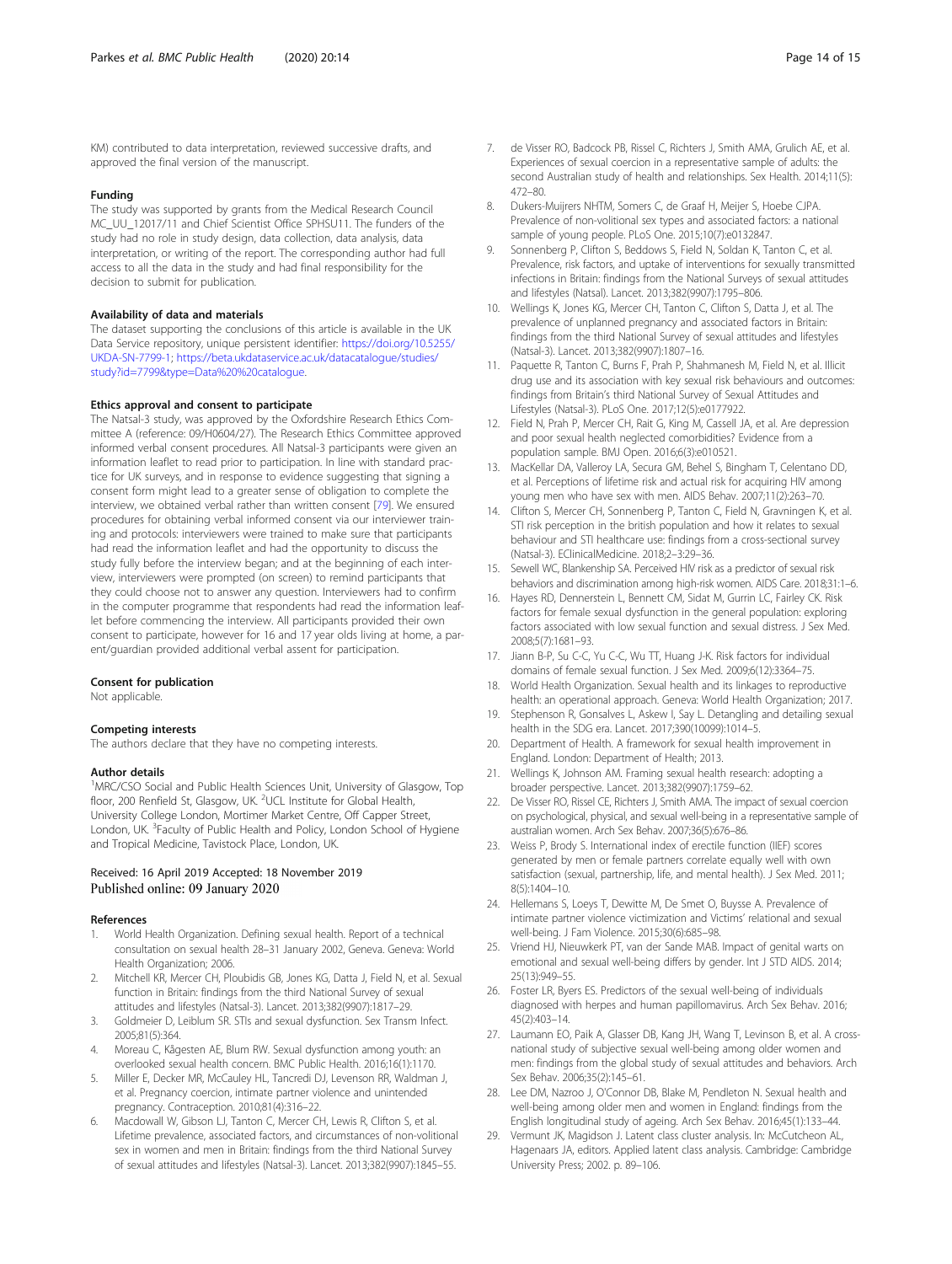<span id="page-13-0"></span>KM) contributed to data interpretation, reviewed successive drafts, and approved the final version of the manuscript.

## Funding

The study was supported by grants from the Medical Research Council MC\_UU\_12017/11 and Chief Scientist Office SPHSU11. The funders of the study had no role in study design, data collection, data analysis, data interpretation, or writing of the report. The corresponding author had full access to all the data in the study and had final responsibility for the decision to submit for publication.

## Availability of data and materials

The dataset supporting the conclusions of this article is available in the UK Data Service repository, unique persistent identifier: [https://doi.org/10.5255/](https://doi.org/10.5255/UKDA-SN-7799-1) [UKDA-SN-7799-1](https://doi.org/10.5255/UKDA-SN-7799-1); [https://beta.ukdataservice.ac.uk/datacatalogue/studies/](https://beta.ukdataservice.ac.uk/datacatalogue/studies/study?id=7799&type=Data%20%20catalogue) [study?id=7799&type=Data%20%20catalogue.](https://beta.ukdataservice.ac.uk/datacatalogue/studies/study?id=7799&type=Data%20%20catalogue)

## Ethics approval and consent to participate

The Natsal-3 study, was approved by the Oxfordshire Research Ethics Committee A (reference: 09/H0604/27). The Research Ethics Committee approved informed verbal consent procedures. All Natsal-3 participants were given an information leaflet to read prior to participation. In line with standard practice for UK surveys, and in response to evidence suggesting that signing a consent form might lead to a greater sense of obligation to complete the interview, we obtained verbal rather than written consent [[79\]](#page-14-0). We ensured procedures for obtaining verbal informed consent via our interviewer training and protocols: interviewers were trained to make sure that participants had read the information leaflet and had the opportunity to discuss the study fully before the interview began; and at the beginning of each interview, interviewers were prompted (on screen) to remind participants that they could choose not to answer any question. Interviewers had to confirm in the computer programme that respondents had read the information leaflet before commencing the interview. All participants provided their own consent to participate, however for 16 and 17 year olds living at home, a parent/guardian provided additional verbal assent for participation.

### Consent for publication

Not applicable.

## Competing interests

The authors declare that they have no competing interests.

## Author details

<sup>1</sup>MRC/CSO Social and Public Health Sciences Unit, University of Glasgow, Top floor, 200 Renfield St, Glasgow, UK. <sup>2</sup>UCL Institute for Global Health, University College London, Mortimer Market Centre, Off Capper Street, London, UK. <sup>3</sup>Faculty of Public Health and Policy, London School of Hygiene and Tropical Medicine, Tavistock Place, London, UK.

# Received: 16 April 2019 Accepted: 18 November 2019 Published online: 09 January 2020

#### References

- 1. World Health Organization. Defining sexual health. Report of a technical consultation on sexual health 28–31 January 2002, Geneva. Geneva: World Health Organization; 2006.
- 2. Mitchell KR, Mercer CH, Ploubidis GB, Jones KG, Datta J, Field N, et al. Sexual function in Britain: findings from the third National Survey of sexual attitudes and lifestyles (Natsal-3). Lancet. 2013;382(9907):1817–29.
- 3. Goldmeier D, Leiblum SR. STIs and sexual dysfunction. Sex Transm Infect. 2005;81(5):364.
- 4. Moreau C, Kågesten AE, Blum RW. Sexual dysfunction among youth: an overlooked sexual health concern. BMC Public Health. 2016;16(1):1170.
- 5. Miller E, Decker MR, McCauley HL, Tancredi DJ, Levenson RR, Waldman J, et al. Pregnancy coercion, intimate partner violence and unintended pregnancy. Contraception. 2010;81(4):316–22.
- Macdowall W, Gibson LJ, Tanton C, Mercer CH, Lewis R, Clifton S, et al. Lifetime prevalence, associated factors, and circumstances of non-volitional sex in women and men in Britain: findings from the third National Survey of sexual attitudes and lifestyles (Natsal-3). Lancet. 2013;382(9907):1845–55.
- 8. Dukers-Muijrers NHTM, Somers C, de Graaf H, Meijer S, Hoebe CJPA. Prevalence of non-volitional sex types and associated factors: a national sample of young people. PLoS One. 2015;10(7):e0132847.
- Sonnenberg P, Clifton S, Beddows S, Field N, Soldan K, Tanton C, et al. Prevalence, risk factors, and uptake of interventions for sexually transmitted infections in Britain: findings from the National Surveys of sexual attitudes and lifestyles (Natsal). Lancet. 2013;382(9907):1795–806.
- 10. Wellings K, Jones KG, Mercer CH, Tanton C, Clifton S, Datta J, et al. The prevalence of unplanned pregnancy and associated factors in Britain: findings from the third National Survey of sexual attitudes and lifestyles (Natsal-3). Lancet. 2013;382(9907):1807–16.
- 11. Paquette R, Tanton C, Burns F, Prah P, Shahmanesh M, Field N, et al. Illicit drug use and its association with key sexual risk behaviours and outcomes: findings from Britain's third National Survey of Sexual Attitudes and Lifestyles (Natsal-3). PLoS One. 2017;12(5):e0177922.
- 12. Field N, Prah P, Mercer CH, Rait G, King M, Cassell JA, et al. Are depression and poor sexual health neglected comorbidities? Evidence from a population sample. BMJ Open. 2016;6(3):e010521.
- 13. MacKellar DA, Valleroy LA, Secura GM, Behel S, Bingham T, Celentano DD, et al. Perceptions of lifetime risk and actual risk for acquiring HIV among young men who have sex with men. AIDS Behav. 2007;11(2):263–70.
- 14. Clifton S, Mercer CH, Sonnenberg P, Tanton C, Field N, Gravningen K, et al. STI risk perception in the british population and how it relates to sexual behaviour and STI healthcare use: findings from a cross-sectional survey (Natsal-3). EClinicalMedicine. 2018;2–3:29–36.
- 15. Sewell WC, Blankenship SA. Perceived HIV risk as a predictor of sexual risk behaviors and discrimination among high-risk women. AIDS Care. 2018;31:1–6.
- 16. Hayes RD, Dennerstein L, Bennett CM, Sidat M, Gurrin LC, Fairley CK. Risk factors for female sexual dysfunction in the general population: exploring factors associated with low sexual function and sexual distress. J Sex Med. 2008;5(7):1681–93.
- 17. Jiann B-P, Su C-C, Yu C-C, Wu TT, Huang J-K. Risk factors for individual domains of female sexual function. J Sex Med. 2009;6(12):3364–75.
- 18. World Health Organization. Sexual health and its linkages to reproductive health: an operational approach. Geneva: World Health Organization; 2017.
- 19. Stephenson R, Gonsalves L, Askew I, Say L. Detangling and detailing sexual health in the SDG era. Lancet. 2017;390(10099):1014–5.
- 20. Department of Health. A framework for sexual health improvement in England. London: Department of Health; 2013.
- 21. Wellings K, Johnson AM. Framing sexual health research: adopting a broader perspective. Lancet. 2013;382(9907):1759–62.
- 22. De Visser RO, Rissel CE, Richters J, Smith AMA. The impact of sexual coercion on psychological, physical, and sexual well-being in a representative sample of australian women. Arch Sex Behav. 2007;36(5):676–86.
- 23. Weiss P, Brody S. International index of erectile function (IIEF) scores generated by men or female partners correlate equally well with own satisfaction (sexual, partnership, life, and mental health). J Sex Med. 2011; 8(5):1404–10.
- 24. Hellemans S, Loeys T, Dewitte M, De Smet O, Buysse A. Prevalence of intimate partner violence victimization and Victims' relational and sexual well-being. J Fam Violence. 2015;30(6):685–98.
- 25. Vriend HJ, Nieuwkerk PT, van der Sande MAB. Impact of genital warts on emotional and sexual well-being differs by gender. Int J STD AIDS. 2014; 25(13):949–55.
- 26. Foster LR, Byers ES. Predictors of the sexual well-being of individuals diagnosed with herpes and human papillomavirus. Arch Sex Behav. 2016; 45(2):403–14.
- 27. Laumann EO, Paik A, Glasser DB, Kang JH, Wang T, Levinson B, et al. A crossnational study of subjective sexual well-being among older women and men: findings from the global study of sexual attitudes and behaviors. Arch Sex Behav. 2006;35(2):145–61.
- 28. Lee DM, Nazroo J, O'Connor DB, Blake M, Pendleton N. Sexual health and well-being among older men and women in England: findings from the English longitudinal study of ageing. Arch Sex Behav. 2016;45(1):133–44.
- Vermunt JK, Magidson J. Latent class cluster analysis. In: McCutcheon AL, Hagenaars JA, editors. Applied latent class analysis. Cambridge: Cambridge University Press; 2002. p. 89–106.